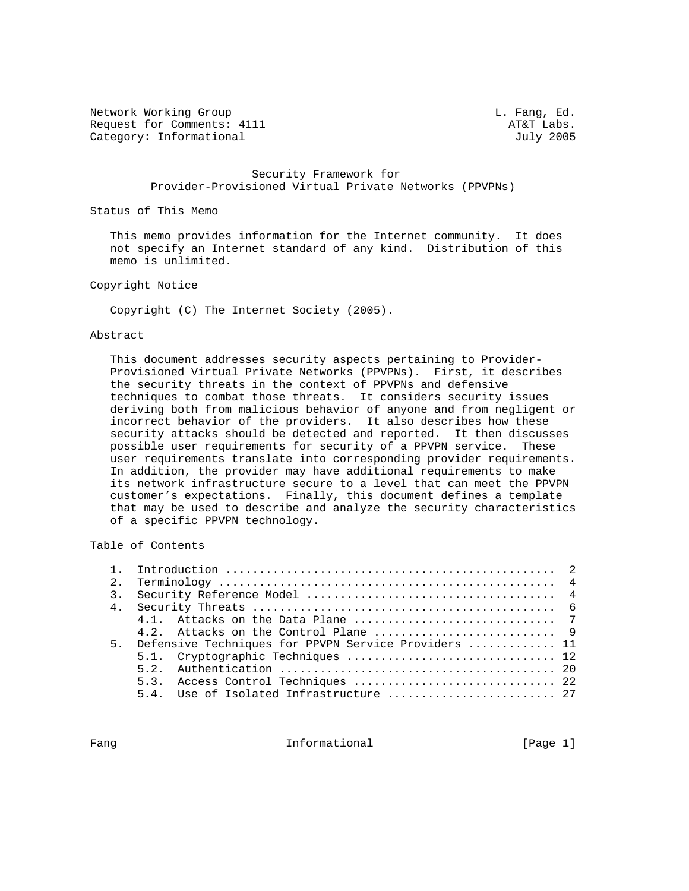Network Working Group and the contract of the contract of the L. Fang, Ed. Request for Comments: 4111 AT&T Labs.<br>Category: Informational and Category: Informational Category: Informational

### Security Framework for Provider-Provisioned Virtual Private Networks (PPVPNs)

Status of This Memo

 This memo provides information for the Internet community. It does not specify an Internet standard of any kind. Distribution of this memo is unlimited.

Copyright Notice

Copyright (C) The Internet Society (2005).

#### Abstract

 This document addresses security aspects pertaining to Provider- Provisioned Virtual Private Networks (PPVPNs). First, it describes the security threats in the context of PPVPNs and defensive techniques to combat those threats. It considers security issues deriving both from malicious behavior of anyone and from negligent or incorrect behavior of the providers. It also describes how these security attacks should be detected and reported. It then discusses possible user requirements for security of a PPVPN service. These user requirements translate into corresponding provider requirements. In addition, the provider may have additional requirements to make its network infrastructure secure to a level that can meet the PPVPN customer's expectations. Finally, this document defines a template that may be used to describe and analyze the security characteristics of a specific PPVPN technology.

Table of Contents

| 5. Defensive Techniques for PPVPN Service Providers  11 |  |  |  |  |
|---------------------------------------------------------|--|--|--|--|
| 5.1. Cryptographic Techniques  12                       |  |  |  |  |
|                                                         |  |  |  |  |
| 5.3. Access Control Techniques  22                      |  |  |  |  |
| 5.4. Use of Isolated Infrastructure  27                 |  |  |  |  |

Fang **Informational** Informational [Page 1]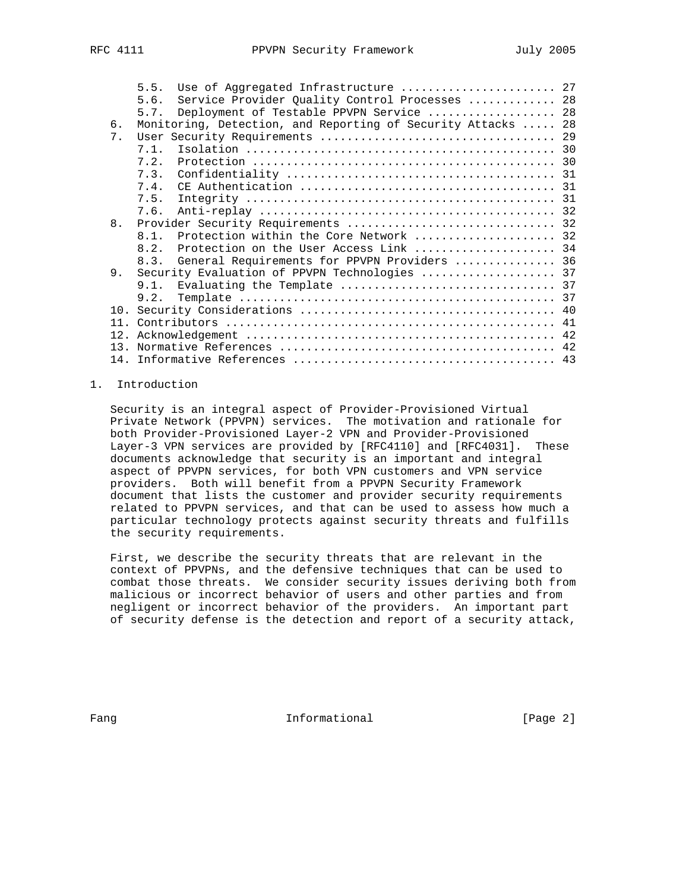|    | 5.5.<br>Use of Aggregated Infrastructure  27                 |    |
|----|--------------------------------------------------------------|----|
|    | Service Provider Quality Control Processes  28<br>5.6.       |    |
|    | Deployment of Testable PPVPN Service  28<br>5.7.             |    |
| 6. | Monitoring, Detection, and Reporting of Security Attacks  28 |    |
| 7. |                                                              |    |
|    | 7 1                                                          |    |
|    | 7.2.                                                         |    |
|    | 7.3.                                                         |    |
|    | 7.4.                                                         |    |
|    | 7.5.                                                         |    |
|    | 7.6.                                                         |    |
| 8. |                                                              |    |
|    | Protection within the Core Network  32<br>8 1                |    |
|    | Protection on the User Access Link  34<br>8.2.               |    |
|    | General Requirements for PPVPN Providers  36<br>8.3.         |    |
| 9. | Security Evaluation of PPVPN Technologies  37                |    |
|    | 9.1.                                                         |    |
|    | 9.2.                                                         |    |
|    |                                                              |    |
|    |                                                              |    |
|    |                                                              |    |
|    |                                                              |    |
| 14 |                                                              |    |
|    |                                                              | 11 |

# 1. Introduction

 Security is an integral aspect of Provider-Provisioned Virtual Private Network (PPVPN) services. The motivation and rationale for both Provider-Provisioned Layer-2 VPN and Provider-Provisioned Layer-3 VPN services are provided by [RFC4110] and [RFC4031]. These documents acknowledge that security is an important and integral aspect of PPVPN services, for both VPN customers and VPN service providers. Both will benefit from a PPVPN Security Framework document that lists the customer and provider security requirements related to PPVPN services, and that can be used to assess how much a particular technology protects against security threats and fulfills the security requirements.

 First, we describe the security threats that are relevant in the context of PPVPNs, and the defensive techniques that can be used to combat those threats. We consider security issues deriving both from malicious or incorrect behavior of users and other parties and from negligent or incorrect behavior of the providers. An important part of security defense is the detection and report of a security attack,

Fang **Informational Informational** [Page 2]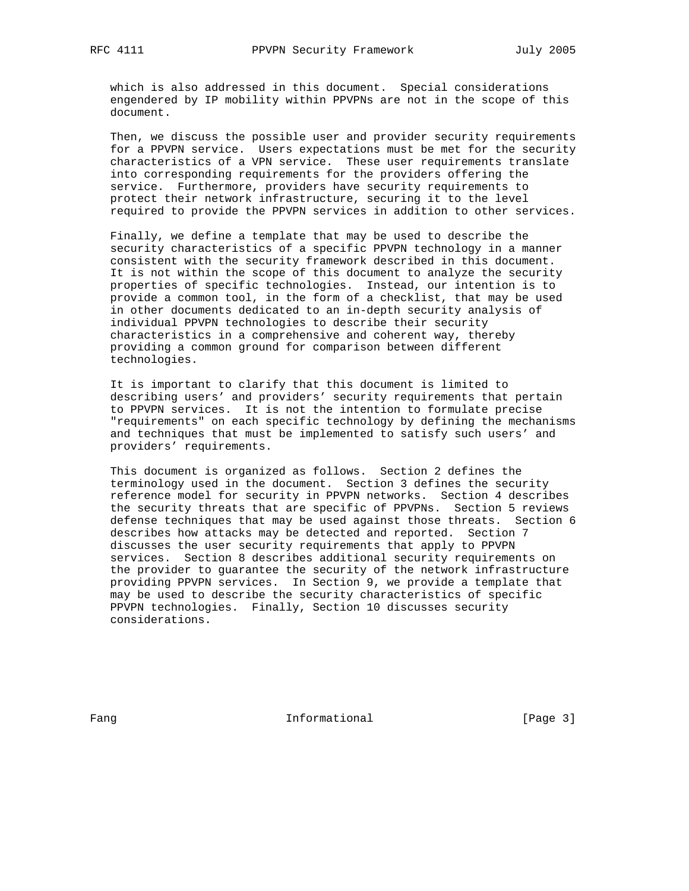which is also addressed in this document. Special considerations engendered by IP mobility within PPVPNs are not in the scope of this document.

 Then, we discuss the possible user and provider security requirements for a PPVPN service. Users expectations must be met for the security characteristics of a VPN service. These user requirements translate into corresponding requirements for the providers offering the service. Furthermore, providers have security requirements to protect their network infrastructure, securing it to the level required to provide the PPVPN services in addition to other services.

 Finally, we define a template that may be used to describe the security characteristics of a specific PPVPN technology in a manner consistent with the security framework described in this document. It is not within the scope of this document to analyze the security properties of specific technologies. Instead, our intention is to provide a common tool, in the form of a checklist, that may be used in other documents dedicated to an in-depth security analysis of individual PPVPN technologies to describe their security characteristics in a comprehensive and coherent way, thereby providing a common ground for comparison between different technologies.

 It is important to clarify that this document is limited to describing users' and providers' security requirements that pertain to PPVPN services. It is not the intention to formulate precise "requirements" on each specific technology by defining the mechanisms and techniques that must be implemented to satisfy such users' and providers' requirements.

 This document is organized as follows. Section 2 defines the terminology used in the document. Section 3 defines the security reference model for security in PPVPN networks. Section 4 describes the security threats that are specific of PPVPNs. Section 5 reviews defense techniques that may be used against those threats. Section 6 describes how attacks may be detected and reported. Section 7 discusses the user security requirements that apply to PPVPN services. Section 8 describes additional security requirements on the provider to guarantee the security of the network infrastructure providing PPVPN services. In Section 9, we provide a template that may be used to describe the security characteristics of specific PPVPN technologies. Finally, Section 10 discusses security considerations.

Fang **Informational Informational** [Page 3]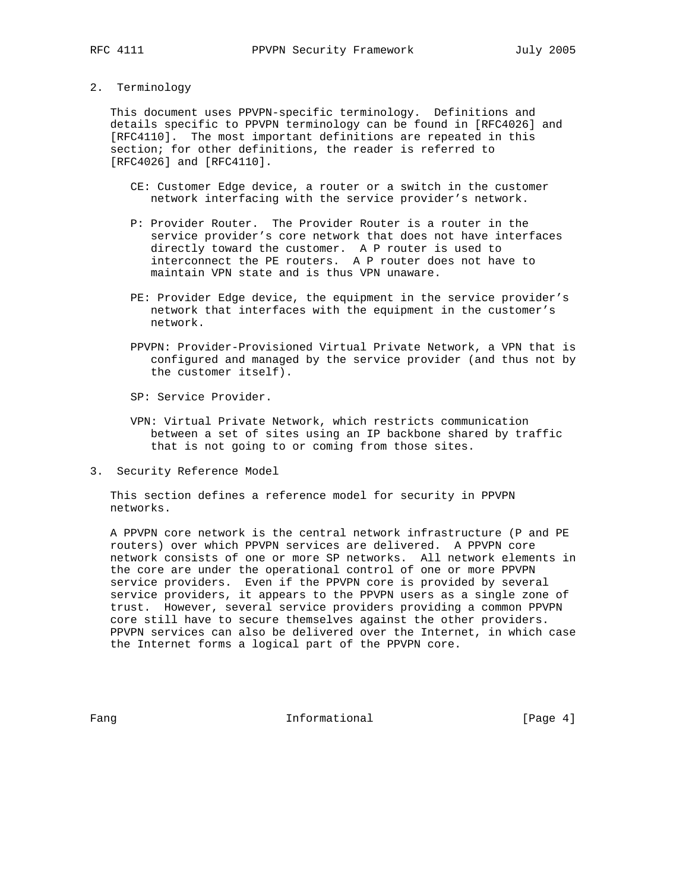#### 2. Terminology

 This document uses PPVPN-specific terminology. Definitions and details specific to PPVPN terminology can be found in [RFC4026] and [RFC4110]. The most important definitions are repeated in this section; for other definitions, the reader is referred to [RFC4026] and [RFC4110].

- CE: Customer Edge device, a router or a switch in the customer network interfacing with the service provider's network.
- P: Provider Router. The Provider Router is a router in the service provider's core network that does not have interfaces directly toward the customer. A P router is used to interconnect the PE routers. A P router does not have to maintain VPN state and is thus VPN unaware.
- PE: Provider Edge device, the equipment in the service provider's network that interfaces with the equipment in the customer's network.
- PPVPN: Provider-Provisioned Virtual Private Network, a VPN that is configured and managed by the service provider (and thus not by the customer itself).
- SP: Service Provider.
- VPN: Virtual Private Network, which restricts communication between a set of sites using an IP backbone shared by traffic that is not going to or coming from those sites.
- 3. Security Reference Model

 This section defines a reference model for security in PPVPN networks.

 A PPVPN core network is the central network infrastructure (P and PE routers) over which PPVPN services are delivered. A PPVPN core network consists of one or more SP networks. All network elements in the core are under the operational control of one or more PPVPN service providers. Even if the PPVPN core is provided by several service providers, it appears to the PPVPN users as a single zone of trust. However, several service providers providing a common PPVPN core still have to secure themselves against the other providers. PPVPN services can also be delivered over the Internet, in which case the Internet forms a logical part of the PPVPN core.

Fang **Informational Informational** [Page 4]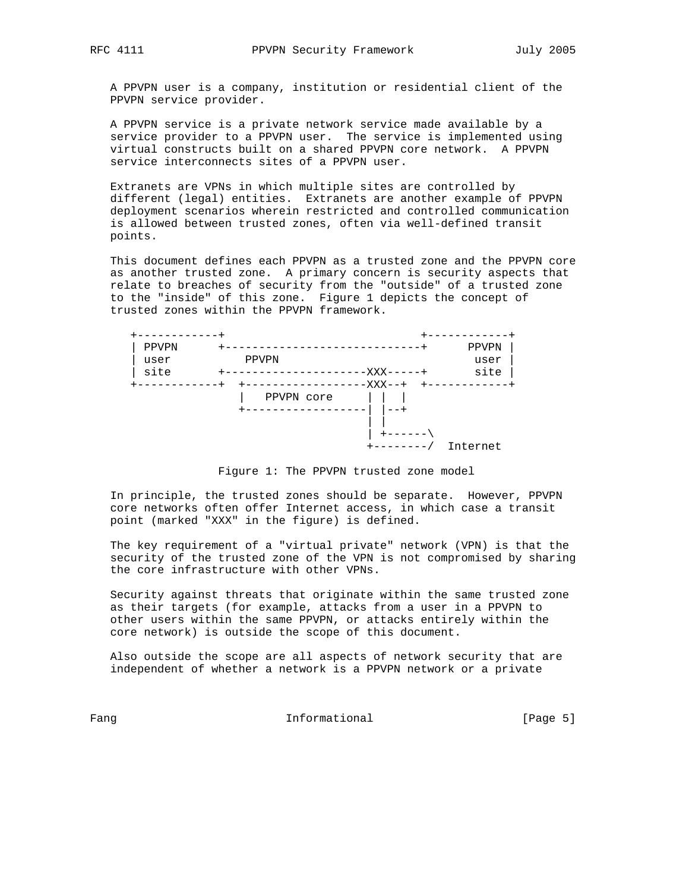A PPVPN user is a company, institution or residential client of the PPVPN service provider.

 A PPVPN service is a private network service made available by a service provider to a PPVPN user. The service is implemented using virtual constructs built on a shared PPVPN core network. A PPVPN service interconnects sites of a PPVPN user.

 Extranets are VPNs in which multiple sites are controlled by different (legal) entities. Extranets are another example of PPVPN deployment scenarios wherein restricted and controlled communication is allowed between trusted zones, often via well-defined transit points.

 This document defines each PPVPN as a trusted zone and the PPVPN core as another trusted zone. A primary concern is security aspects that relate to breaches of security from the "outside" of a trusted zone to the "inside" of this zone. Figure 1 depicts the concept of trusted zones within the PPVPN framework.

| PPVPN |            |         | PPVPN    |
|-------|------------|---------|----------|
| user  | PPVPN      |         | user     |
| site  |            | -XXX-   | site     |
|       |            | -XXX--+ |          |
|       | PPVPN core |         |          |
|       |            |         |          |
|       |            |         |          |
|       |            |         |          |
|       |            |         | Internet |

Figure 1: The PPVPN trusted zone model

 In principle, the trusted zones should be separate. However, PPVPN core networks often offer Internet access, in which case a transit point (marked "XXX" in the figure) is defined.

 The key requirement of a "virtual private" network (VPN) is that the security of the trusted zone of the VPN is not compromised by sharing the core infrastructure with other VPNs.

 Security against threats that originate within the same trusted zone as their targets (for example, attacks from a user in a PPVPN to other users within the same PPVPN, or attacks entirely within the core network) is outside the scope of this document.

 Also outside the scope are all aspects of network security that are independent of whether a network is a PPVPN network or a private

Fang **Informational Informational** [Page 5]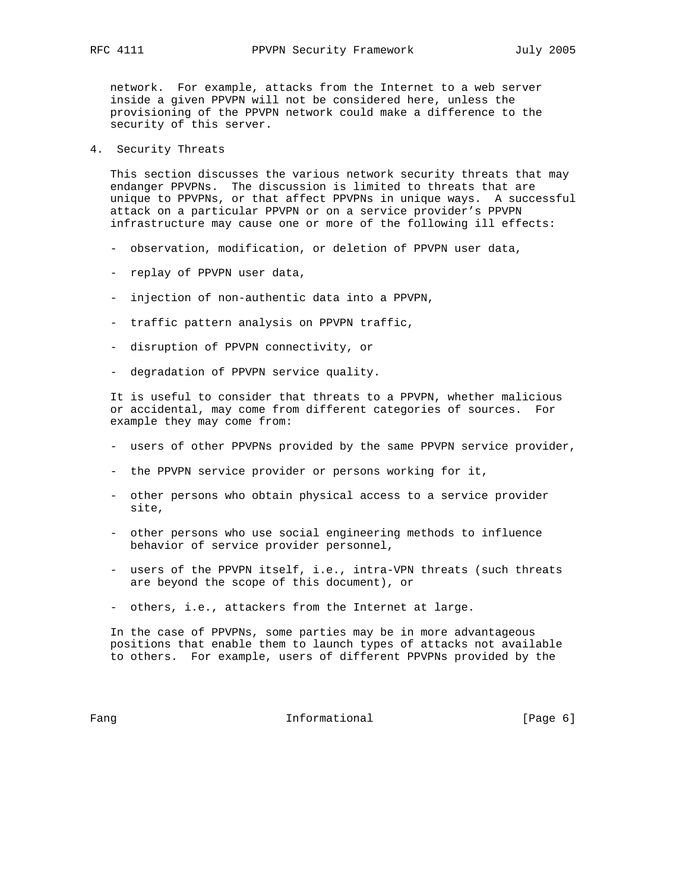network. For example, attacks from the Internet to a web server inside a given PPVPN will not be considered here, unless the provisioning of the PPVPN network could make a difference to the security of this server.

4. Security Threats

 This section discusses the various network security threats that may endanger PPVPNs. The discussion is limited to threats that are unique to PPVPNs, or that affect PPVPNs in unique ways. A successful attack on a particular PPVPN or on a service provider's PPVPN infrastructure may cause one or more of the following ill effects:

- observation, modification, or deletion of PPVPN user data,
- replay of PPVPN user data,
- injection of non-authentic data into a PPVPN,
- traffic pattern analysis on PPVPN traffic,
- disruption of PPVPN connectivity, or
- degradation of PPVPN service quality.

 It is useful to consider that threats to a PPVPN, whether malicious or accidental, may come from different categories of sources. For example they may come from:

- users of other PPVPNs provided by the same PPVPN service provider,
- the PPVPN service provider or persons working for it,
- other persons who obtain physical access to a service provider site,
- other persons who use social engineering methods to influence behavior of service provider personnel,
- users of the PPVPN itself, i.e., intra-VPN threats (such threats are beyond the scope of this document), or
- others, i.e., attackers from the Internet at large.

 In the case of PPVPNs, some parties may be in more advantageous positions that enable them to launch types of attacks not available to others. For example, users of different PPVPNs provided by the

Fang **Informational Informational Example 1** [Page 6]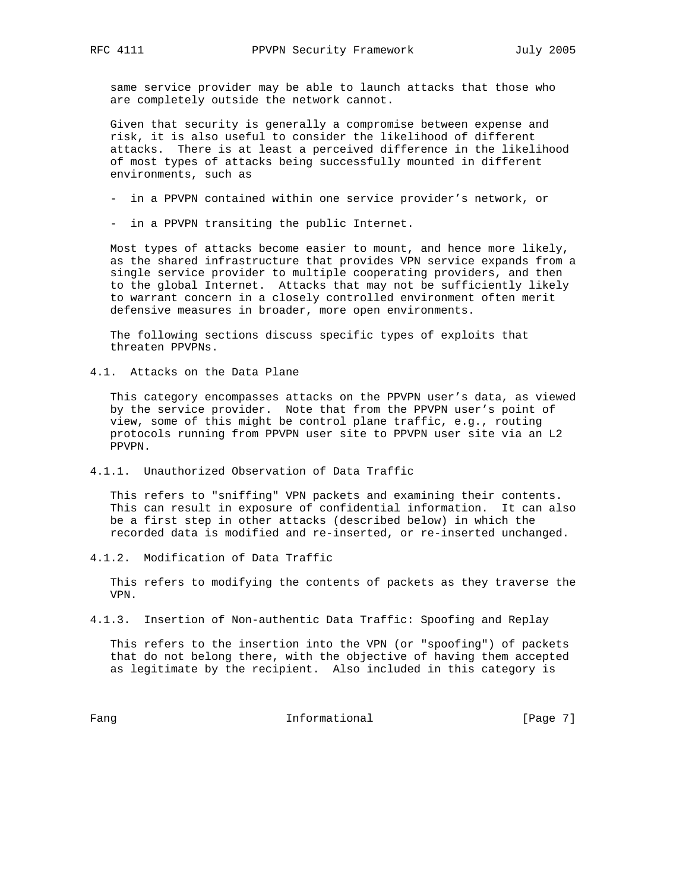same service provider may be able to launch attacks that those who are completely outside the network cannot.

 Given that security is generally a compromise between expense and risk, it is also useful to consider the likelihood of different attacks. There is at least a perceived difference in the likelihood of most types of attacks being successfully mounted in different environments, such as

- in a PPVPN contained within one service provider's network, or
- in a PPVPN transiting the public Internet.

 Most types of attacks become easier to mount, and hence more likely, as the shared infrastructure that provides VPN service expands from a single service provider to multiple cooperating providers, and then to the global Internet. Attacks that may not be sufficiently likely to warrant concern in a closely controlled environment often merit defensive measures in broader, more open environments.

 The following sections discuss specific types of exploits that threaten PPVPNs.

4.1. Attacks on the Data Plane

 This category encompasses attacks on the PPVPN user's data, as viewed by the service provider. Note that from the PPVPN user's point of view, some of this might be control plane traffic, e.g., routing protocols running from PPVPN user site to PPVPN user site via an L2 PPVPN.

4.1.1. Unauthorized Observation of Data Traffic

 This refers to "sniffing" VPN packets and examining their contents. This can result in exposure of confidential information. It can also be a first step in other attacks (described below) in which the recorded data is modified and re-inserted, or re-inserted unchanged.

4.1.2. Modification of Data Traffic

 This refers to modifying the contents of packets as they traverse the VPN.

4.1.3. Insertion of Non-authentic Data Traffic: Spoofing and Replay

 This refers to the insertion into the VPN (or "spoofing") of packets that do not belong there, with the objective of having them accepted as legitimate by the recipient. Also included in this category is

Fang Informational Fang [Page 7]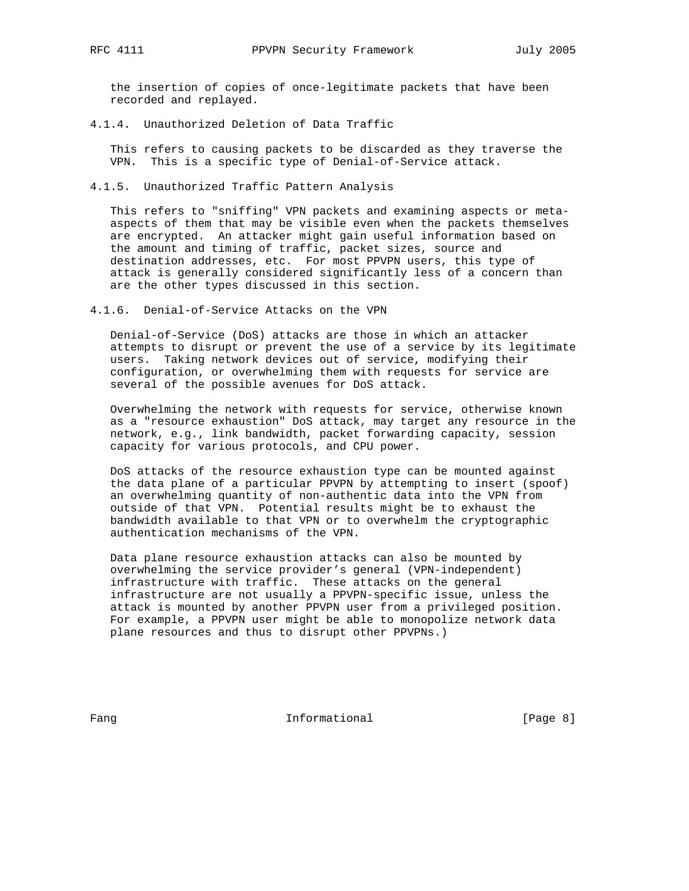the insertion of copies of once-legitimate packets that have been recorded and replayed.

4.1.4. Unauthorized Deletion of Data Traffic

 This refers to causing packets to be discarded as they traverse the VPN. This is a specific type of Denial-of-Service attack.

4.1.5. Unauthorized Traffic Pattern Analysis

 This refers to "sniffing" VPN packets and examining aspects or meta aspects of them that may be visible even when the packets themselves are encrypted. An attacker might gain useful information based on the amount and timing of traffic, packet sizes, source and destination addresses, etc. For most PPVPN users, this type of attack is generally considered significantly less of a concern than are the other types discussed in this section.

4.1.6. Denial-of-Service Attacks on the VPN

 Denial-of-Service (DoS) attacks are those in which an attacker attempts to disrupt or prevent the use of a service by its legitimate users. Taking network devices out of service, modifying their configuration, or overwhelming them with requests for service are several of the possible avenues for DoS attack.

 Overwhelming the network with requests for service, otherwise known as a "resource exhaustion" DoS attack, may target any resource in the network, e.g., link bandwidth, packet forwarding capacity, session capacity for various protocols, and CPU power.

 DoS attacks of the resource exhaustion type can be mounted against the data plane of a particular PPVPN by attempting to insert (spoof) an overwhelming quantity of non-authentic data into the VPN from outside of that VPN. Potential results might be to exhaust the bandwidth available to that VPN or to overwhelm the cryptographic authentication mechanisms of the VPN.

 Data plane resource exhaustion attacks can also be mounted by overwhelming the service provider's general (VPN-independent) infrastructure with traffic. These attacks on the general infrastructure are not usually a PPVPN-specific issue, unless the attack is mounted by another PPVPN user from a privileged position. For example, a PPVPN user might be able to monopolize network data plane resources and thus to disrupt other PPVPNs.)

Fang **Informational Informational** [Page 8]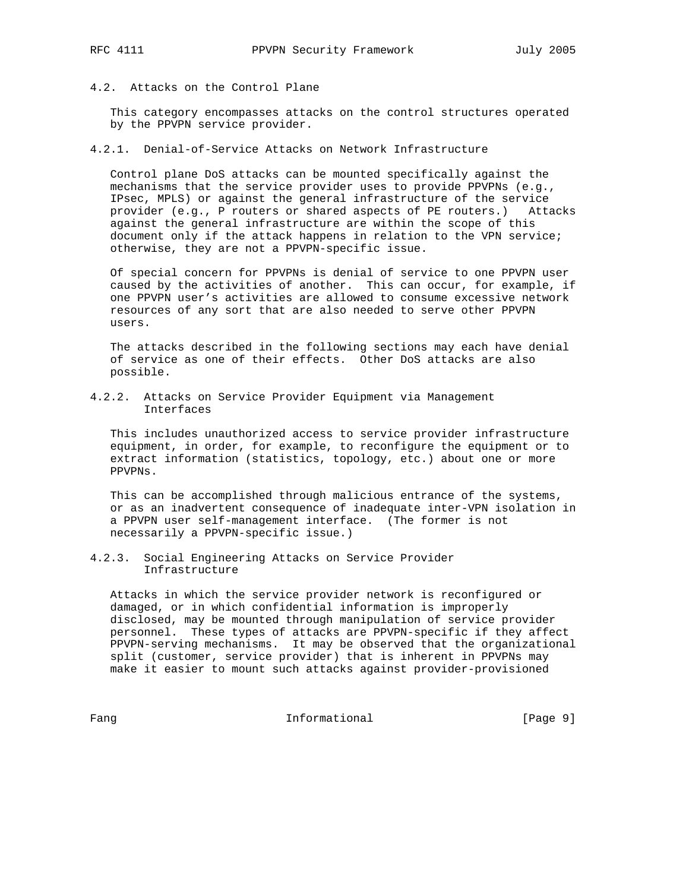- 
- 4.2. Attacks on the Control Plane

 This category encompasses attacks on the control structures operated by the PPVPN service provider.

4.2.1. Denial-of-Service Attacks on Network Infrastructure

 Control plane DoS attacks can be mounted specifically against the mechanisms that the service provider uses to provide PPVPNs (e.g., IPsec, MPLS) or against the general infrastructure of the service provider (e.g., P routers or shared aspects of PE routers.) Attacks against the general infrastructure are within the scope of this document only if the attack happens in relation to the VPN service; otherwise, they are not a PPVPN-specific issue.

 Of special concern for PPVPNs is denial of service to one PPVPN user caused by the activities of another. This can occur, for example, if one PPVPN user's activities are allowed to consume excessive network resources of any sort that are also needed to serve other PPVPN users.

 The attacks described in the following sections may each have denial of service as one of their effects. Other DoS attacks are also possible.

4.2.2. Attacks on Service Provider Equipment via Management Interfaces

 This includes unauthorized access to service provider infrastructure equipment, in order, for example, to reconfigure the equipment or to extract information (statistics, topology, etc.) about one or more PPVPNs.

 This can be accomplished through malicious entrance of the systems, or as an inadvertent consequence of inadequate inter-VPN isolation in a PPVPN user self-management interface. (The former is not necessarily a PPVPN-specific issue.)

4.2.3. Social Engineering Attacks on Service Provider Infrastructure

 Attacks in which the service provider network is reconfigured or damaged, or in which confidential information is improperly disclosed, may be mounted through manipulation of service provider personnel. These types of attacks are PPVPN-specific if they affect PPVPN-serving mechanisms. It may be observed that the organizational split (customer, service provider) that is inherent in PPVPNs may make it easier to mount such attacks against provider-provisioned

Fang Informational Fang [Page 9]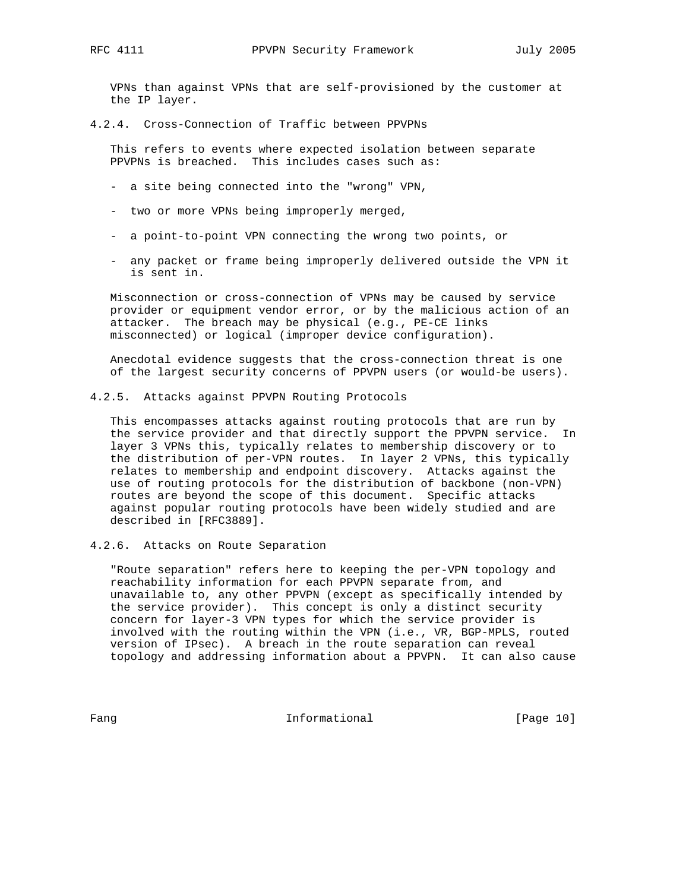VPNs than against VPNs that are self-provisioned by the customer at the IP layer.

4.2.4. Cross-Connection of Traffic between PPVPNs

 This refers to events where expected isolation between separate PPVPNs is breached. This includes cases such as:

- a site being connected into the "wrong" VPN,
- two or more VPNs being improperly merged,
- a point-to-point VPN connecting the wrong two points, or
- any packet or frame being improperly delivered outside the VPN it is sent in.

 Misconnection or cross-connection of VPNs may be caused by service provider or equipment vendor error, or by the malicious action of an attacker. The breach may be physical (e.g., PE-CE links misconnected) or logical (improper device configuration).

 Anecdotal evidence suggests that the cross-connection threat is one of the largest security concerns of PPVPN users (or would-be users).

4.2.5. Attacks against PPVPN Routing Protocols

 This encompasses attacks against routing protocols that are run by the service provider and that directly support the PPVPN service. In layer 3 VPNs this, typically relates to membership discovery or to the distribution of per-VPN routes. In layer 2 VPNs, this typically relates to membership and endpoint discovery. Attacks against the use of routing protocols for the distribution of backbone (non-VPN) routes are beyond the scope of this document. Specific attacks against popular routing protocols have been widely studied and are described in [RFC3889].

4.2.6. Attacks on Route Separation

 "Route separation" refers here to keeping the per-VPN topology and reachability information for each PPVPN separate from, and unavailable to, any other PPVPN (except as specifically intended by the service provider). This concept is only a distinct security concern for layer-3 VPN types for which the service provider is involved with the routing within the VPN (i.e., VR, BGP-MPLS, routed version of IPsec). A breach in the route separation can reveal topology and addressing information about a PPVPN. It can also cause

Fang **Informational Informational** [Page 10]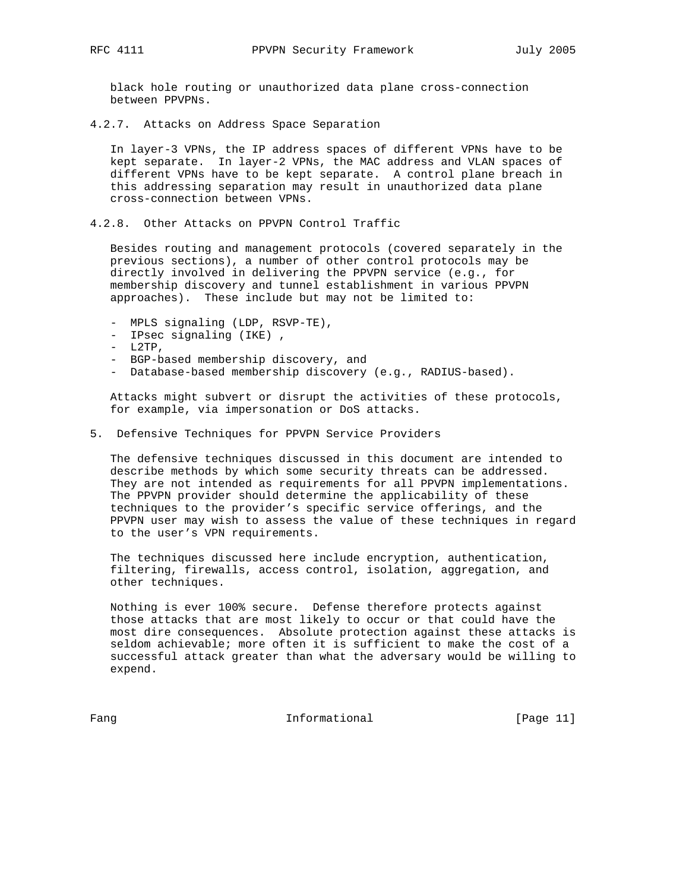black hole routing or unauthorized data plane cross-connection between PPVPNs.

4.2.7. Attacks on Address Space Separation

 In layer-3 VPNs, the IP address spaces of different VPNs have to be kept separate. In layer-2 VPNs, the MAC address and VLAN spaces of different VPNs have to be kept separate. A control plane breach in this addressing separation may result in unauthorized data plane cross-connection between VPNs.

4.2.8. Other Attacks on PPVPN Control Traffic

 Besides routing and management protocols (covered separately in the previous sections), a number of other control protocols may be directly involved in delivering the PPVPN service (e.g., for membership discovery and tunnel establishment in various PPVPN approaches). These include but may not be limited to:

- MPLS signaling (LDP, RSVP-TE),
- IPsec signaling (IKE) ,
- $-L2TP,$
- BGP-based membership discovery, and
- Database-based membership discovery (e.g., RADIUS-based).

 Attacks might subvert or disrupt the activities of these protocols, for example, via impersonation or DoS attacks.

5. Defensive Techniques for PPVPN Service Providers

 The defensive techniques discussed in this document are intended to describe methods by which some security threats can be addressed. They are not intended as requirements for all PPVPN implementations. The PPVPN provider should determine the applicability of these techniques to the provider's specific service offerings, and the PPVPN user may wish to assess the value of these techniques in regard to the user's VPN requirements.

 The techniques discussed here include encryption, authentication, filtering, firewalls, access control, isolation, aggregation, and other techniques.

 Nothing is ever 100% secure. Defense therefore protects against those attacks that are most likely to occur or that could have the most dire consequences. Absolute protection against these attacks is seldom achievable; more often it is sufficient to make the cost of a successful attack greater than what the adversary would be willing to expend.

Fang Informational Fang Informational Fang Informational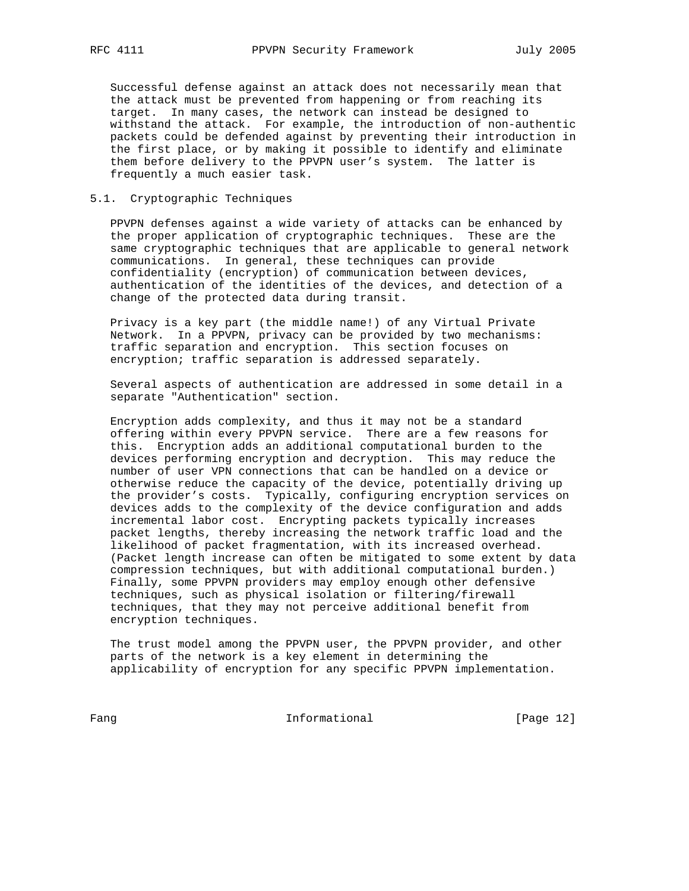Successful defense against an attack does not necessarily mean that the attack must be prevented from happening or from reaching its target. In many cases, the network can instead be designed to withstand the attack. For example, the introduction of non-authentic packets could be defended against by preventing their introduction in the first place, or by making it possible to identify and eliminate them before delivery to the PPVPN user's system. The latter is frequently a much easier task.

# 5.1. Cryptographic Techniques

 PPVPN defenses against a wide variety of attacks can be enhanced by the proper application of cryptographic techniques. These are the same cryptographic techniques that are applicable to general network communications. In general, these techniques can provide confidentiality (encryption) of communication between devices, authentication of the identities of the devices, and detection of a change of the protected data during transit.

 Privacy is a key part (the middle name!) of any Virtual Private Network. In a PPVPN, privacy can be provided by two mechanisms: traffic separation and encryption. This section focuses on encryption; traffic separation is addressed separately.

 Several aspects of authentication are addressed in some detail in a separate "Authentication" section.

 Encryption adds complexity, and thus it may not be a standard offering within every PPVPN service. There are a few reasons for this. Encryption adds an additional computational burden to the devices performing encryption and decryption. This may reduce the number of user VPN connections that can be handled on a device or otherwise reduce the capacity of the device, potentially driving up the provider's costs. Typically, configuring encryption services on devices adds to the complexity of the device configuration and adds incremental labor cost. Encrypting packets typically increases packet lengths, thereby increasing the network traffic load and the likelihood of packet fragmentation, with its increased overhead. (Packet length increase can often be mitigated to some extent by data compression techniques, but with additional computational burden.) Finally, some PPVPN providers may employ enough other defensive techniques, such as physical isolation or filtering/firewall techniques, that they may not perceive additional benefit from encryption techniques.

 The trust model among the PPVPN user, the PPVPN provider, and other parts of the network is a key element in determining the applicability of encryption for any specific PPVPN implementation.

Fang Informational Fang I2]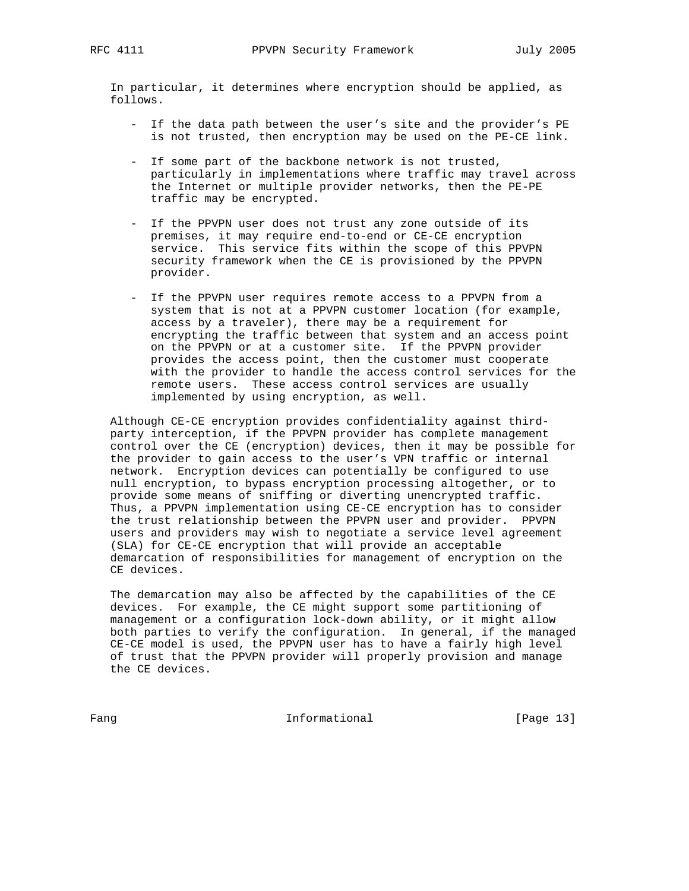In particular, it determines where encryption should be applied, as follows.

- If the data path between the user's site and the provider's PE is not trusted, then encryption may be used on the PE-CE link.
- If some part of the backbone network is not trusted, particularly in implementations where traffic may travel across the Internet or multiple provider networks, then the PE-PE traffic may be encrypted.
- If the PPVPN user does not trust any zone outside of its premises, it may require end-to-end or CE-CE encryption service. This service fits within the scope of this PPVPN security framework when the CE is provisioned by the PPVPN provider.
- If the PPVPN user requires remote access to a PPVPN from a system that is not at a PPVPN customer location (for example, access by a traveler), there may be a requirement for encrypting the traffic between that system and an access point on the PPVPN or at a customer site. If the PPVPN provider provides the access point, then the customer must cooperate with the provider to handle the access control services for the remote users. These access control services are usually implemented by using encryption, as well.

 Although CE-CE encryption provides confidentiality against third party interception, if the PPVPN provider has complete management control over the CE (encryption) devices, then it may be possible for the provider to gain access to the user's VPN traffic or internal network. Encryption devices can potentially be configured to use null encryption, to bypass encryption processing altogether, or to provide some means of sniffing or diverting unencrypted traffic. Thus, a PPVPN implementation using CE-CE encryption has to consider the trust relationship between the PPVPN user and provider. PPVPN users and providers may wish to negotiate a service level agreement (SLA) for CE-CE encryption that will provide an acceptable demarcation of responsibilities for management of encryption on the CE devices.

 The demarcation may also be affected by the capabilities of the CE devices. For example, the CE might support some partitioning of management or a configuration lock-down ability, or it might allow both parties to verify the configuration. In general, if the managed CE-CE model is used, the PPVPN user has to have a fairly high level of trust that the PPVPN provider will properly provision and manage the CE devices.

Fang Informational [Page 13]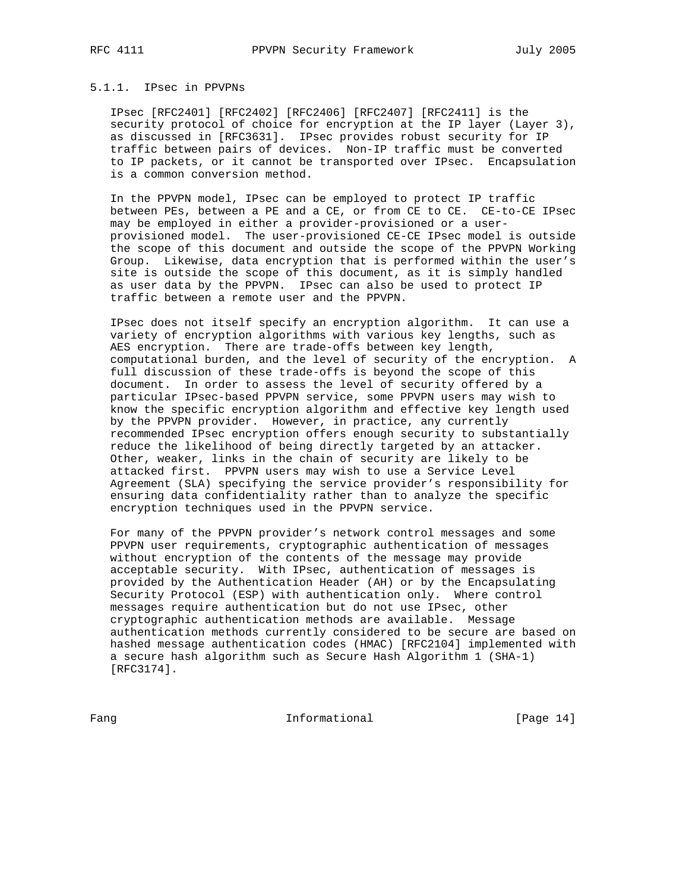# 5.1.1. IPsec in PPVPNs

 IPsec [RFC2401] [RFC2402] [RFC2406] [RFC2407] [RFC2411] is the security protocol of choice for encryption at the IP layer (Layer 3), as discussed in [RFC3631]. IPsec provides robust security for IP traffic between pairs of devices. Non-IP traffic must be converted to IP packets, or it cannot be transported over IPsec. Encapsulation is a common conversion method.

 In the PPVPN model, IPsec can be employed to protect IP traffic between PEs, between a PE and a CE, or from CE to CE. CE-to-CE IPsec may be employed in either a provider-provisioned or a user provisioned model. The user-provisioned CE-CE IPsec model is outside the scope of this document and outside the scope of the PPVPN Working Group. Likewise, data encryption that is performed within the user's site is outside the scope of this document, as it is simply handled as user data by the PPVPN. IPsec can also be used to protect IP traffic between a remote user and the PPVPN.

 IPsec does not itself specify an encryption algorithm. It can use a variety of encryption algorithms with various key lengths, such as AES encryption. There are trade-offs between key length, computational burden, and the level of security of the encryption. A full discussion of these trade-offs is beyond the scope of this document. In order to assess the level of security offered by a particular IPsec-based PPVPN service, some PPVPN users may wish to know the specific encryption algorithm and effective key length used by the PPVPN provider. However, in practice, any currently recommended IPsec encryption offers enough security to substantially reduce the likelihood of being directly targeted by an attacker. Other, weaker, links in the chain of security are likely to be attacked first. PPVPN users may wish to use a Service Level Agreement (SLA) specifying the service provider's responsibility for ensuring data confidentiality rather than to analyze the specific encryption techniques used in the PPVPN service.

 For many of the PPVPN provider's network control messages and some PPVPN user requirements, cryptographic authentication of messages without encryption of the contents of the message may provide acceptable security. With IPsec, authentication of messages is provided by the Authentication Header (AH) or by the Encapsulating Security Protocol (ESP) with authentication only. Where control messages require authentication but do not use IPsec, other cryptographic authentication methods are available. Message authentication methods currently considered to be secure are based on hashed message authentication codes (HMAC) [RFC2104] implemented with a secure hash algorithm such as Secure Hash Algorithm 1 (SHA-1) [RFC3174].

Fang Informational [Page 14]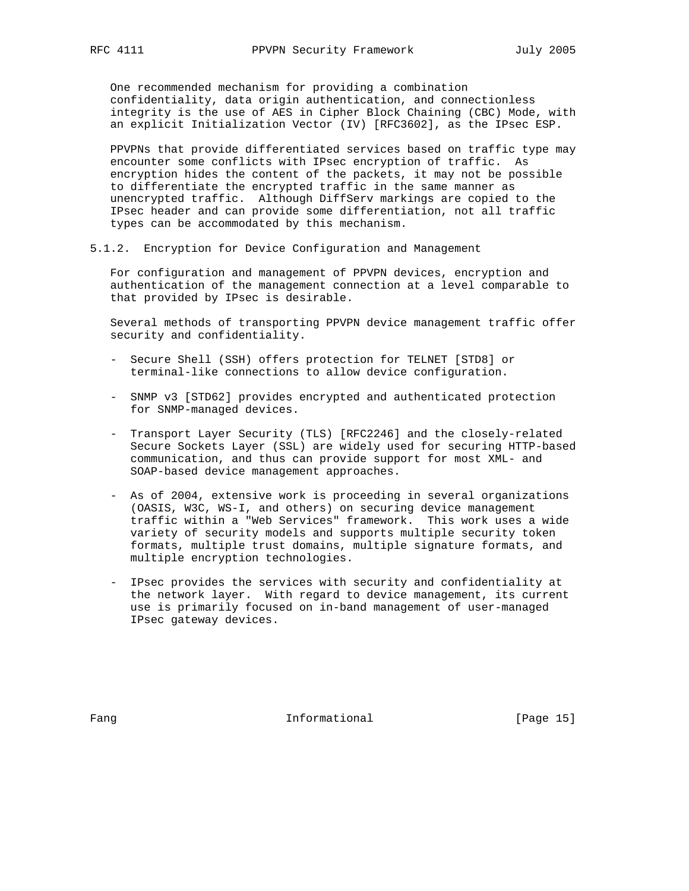One recommended mechanism for providing a combination confidentiality, data origin authentication, and connectionless integrity is the use of AES in Cipher Block Chaining (CBC) Mode, with an explicit Initialization Vector (IV) [RFC3602], as the IPsec ESP.

 PPVPNs that provide differentiated services based on traffic type may encounter some conflicts with IPsec encryption of traffic. As encryption hides the content of the packets, it may not be possible to differentiate the encrypted traffic in the same manner as unencrypted traffic. Although DiffServ markings are copied to the IPsec header and can provide some differentiation, not all traffic types can be accommodated by this mechanism.

5.1.2. Encryption for Device Configuration and Management

 For configuration and management of PPVPN devices, encryption and authentication of the management connection at a level comparable to that provided by IPsec is desirable.

 Several methods of transporting PPVPN device management traffic offer security and confidentiality.

- Secure Shell (SSH) offers protection for TELNET [STD8] or terminal-like connections to allow device configuration.
- SNMP v3 [STD62] provides encrypted and authenticated protection for SNMP-managed devices.
- Transport Layer Security (TLS) [RFC2246] and the closely-related Secure Sockets Layer (SSL) are widely used for securing HTTP-based communication, and thus can provide support for most XML- and SOAP-based device management approaches.
- As of 2004, extensive work is proceeding in several organizations (OASIS, W3C, WS-I, and others) on securing device management traffic within a "Web Services" framework. This work uses a wide variety of security models and supports multiple security token formats, multiple trust domains, multiple signature formats, and multiple encryption technologies.
- IPsec provides the services with security and confidentiality at the network layer. With regard to device management, its current use is primarily focused on in-band management of user-managed IPsec gateway devices.

Fang **Informational Informational** [Page 15]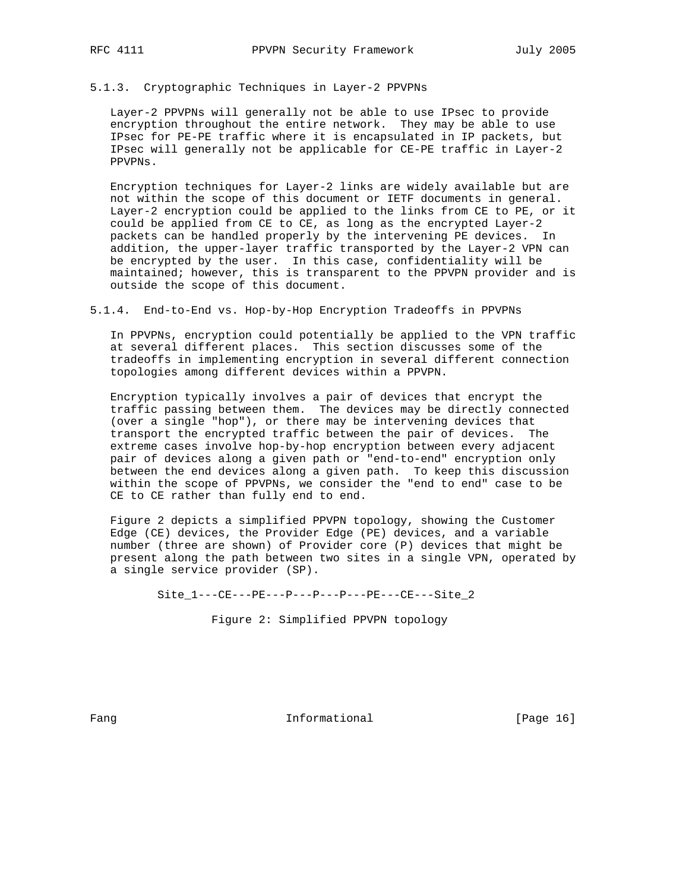# 5.1.3. Cryptographic Techniques in Layer-2 PPVPNs

 Layer-2 PPVPNs will generally not be able to use IPsec to provide encryption throughout the entire network. They may be able to use IPsec for PE-PE traffic where it is encapsulated in IP packets, but IPsec will generally not be applicable for CE-PE traffic in Layer-2 PPVPNs.

 Encryption techniques for Layer-2 links are widely available but are not within the scope of this document or IETF documents in general. Layer-2 encryption could be applied to the links from CE to PE, or it could be applied from CE to CE, as long as the encrypted Layer-2 packets can be handled properly by the intervening PE devices. In addition, the upper-layer traffic transported by the Layer-2 VPN can be encrypted by the user. In this case, confidentiality will be maintained; however, this is transparent to the PPVPN provider and is outside the scope of this document.

# 5.1.4. End-to-End vs. Hop-by-Hop Encryption Tradeoffs in PPVPNs

 In PPVPNs, encryption could potentially be applied to the VPN traffic at several different places. This section discusses some of the tradeoffs in implementing encryption in several different connection topologies among different devices within a PPVPN.

 Encryption typically involves a pair of devices that encrypt the traffic passing between them. The devices may be directly connected (over a single "hop"), or there may be intervening devices that transport the encrypted traffic between the pair of devices. The extreme cases involve hop-by-hop encryption between every adjacent pair of devices along a given path or "end-to-end" encryption only between the end devices along a given path. To keep this discussion within the scope of PPVPNs, we consider the "end to end" case to be CE to CE rather than fully end to end.

 Figure 2 depicts a simplified PPVPN topology, showing the Customer Edge (CE) devices, the Provider Edge (PE) devices, and a variable number (three are shown) of Provider core (P) devices that might be present along the path between two sites in a single VPN, operated by a single service provider (SP).

Site 1---CE---PE---P---P---P---PE---CE---Site 2

Figure 2: Simplified PPVPN topology

Fang **Informational Informational** [Page 16]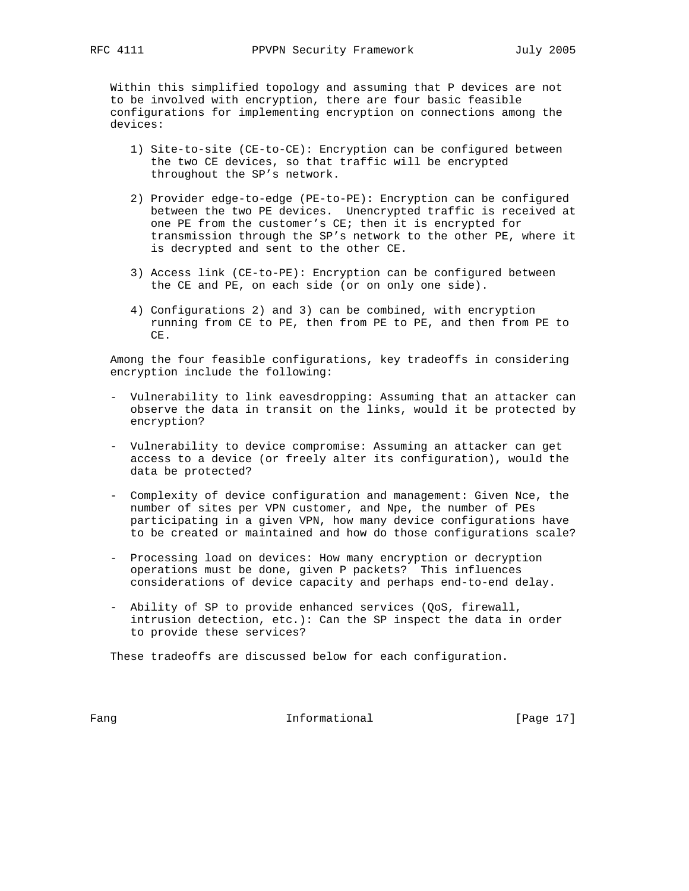Within this simplified topology and assuming that P devices are not to be involved with encryption, there are four basic feasible configurations for implementing encryption on connections among the devices:

- 1) Site-to-site (CE-to-CE): Encryption can be configured between the two CE devices, so that traffic will be encrypted throughout the SP's network.
- 2) Provider edge-to-edge (PE-to-PE): Encryption can be configured between the two PE devices. Unencrypted traffic is received at one PE from the customer's CE; then it is encrypted for transmission through the SP's network to the other PE, where it is decrypted and sent to the other CE.
- 3) Access link (CE-to-PE): Encryption can be configured between the CE and PE, on each side (or on only one side).
- 4) Configurations 2) and 3) can be combined, with encryption running from CE to PE, then from PE to PE, and then from PE to CE.

 Among the four feasible configurations, key tradeoffs in considering encryption include the following:

- Vulnerability to link eavesdropping: Assuming that an attacker can observe the data in transit on the links, would it be protected by encryption?
- Vulnerability to device compromise: Assuming an attacker can get access to a device (or freely alter its configuration), would the data be protected?
- Complexity of device configuration and management: Given Nce, the number of sites per VPN customer, and Npe, the number of PEs participating in a given VPN, how many device configurations have to be created or maintained and how do those configurations scale?
- Processing load on devices: How many encryption or decryption operations must be done, given P packets? This influences considerations of device capacity and perhaps end-to-end delay.
- Ability of SP to provide enhanced services (QoS, firewall, intrusion detection, etc.): Can the SP inspect the data in order to provide these services?

These tradeoffs are discussed below for each configuration.

Fang **Informational Informational** [Page 17]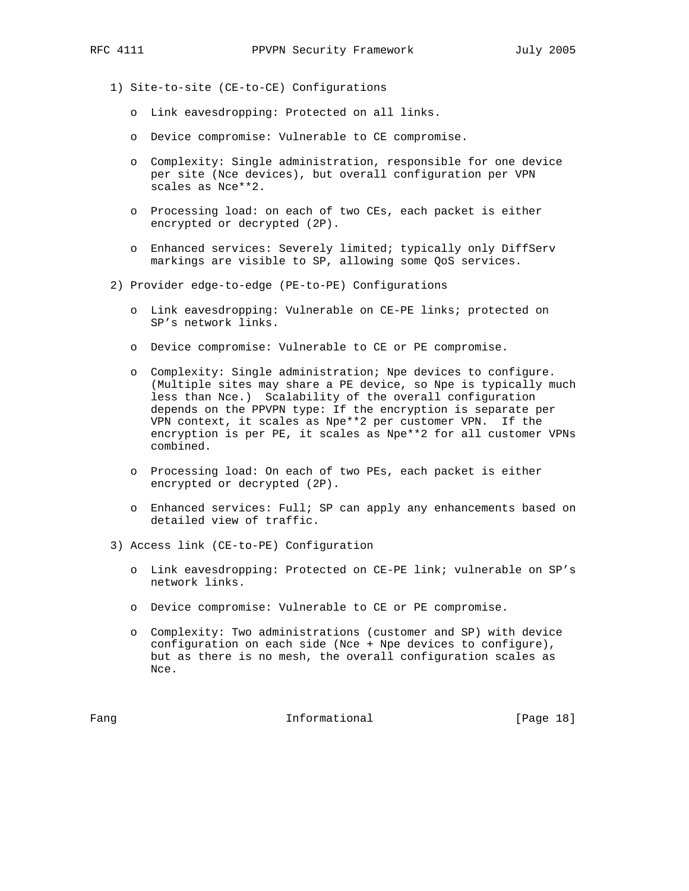- 1) Site-to-site (CE-to-CE) Configurations
	- o Link eavesdropping: Protected on all links.
	- o Device compromise: Vulnerable to CE compromise.
	- o Complexity: Single administration, responsible for one device per site (Nce devices), but overall configuration per VPN scales as Nce\*\*2.
	- o Processing load: on each of two CEs, each packet is either encrypted or decrypted (2P).
	- o Enhanced services: Severely limited; typically only DiffServ markings are visible to SP, allowing some QoS services.
- 2) Provider edge-to-edge (PE-to-PE) Configurations
	- o Link eavesdropping: Vulnerable on CE-PE links; protected on SP's network links.
	- o Device compromise: Vulnerable to CE or PE compromise.
	- o Complexity: Single administration; Npe devices to configure. (Multiple sites may share a PE device, so Npe is typically much less than Nce.) Scalability of the overall configuration depends on the PPVPN type: If the encryption is separate per VPN context, it scales as Npe\*\*2 per customer VPN. If the encryption is per PE, it scales as Npe\*\*2 for all customer VPNs combined.
	- o Processing load: On each of two PEs, each packet is either encrypted or decrypted (2P).
	- o Enhanced services: Full; SP can apply any enhancements based on detailed view of traffic.
- 3) Access link (CE-to-PE) Configuration
	- o Link eavesdropping: Protected on CE-PE link; vulnerable on SP's network links.
	- o Device compromise: Vulnerable to CE or PE compromise.
	- o Complexity: Two administrations (customer and SP) with device configuration on each side (Nce + Npe devices to configure), but as there is no mesh, the overall configuration scales as Nce.

Fang Informational Fang I8]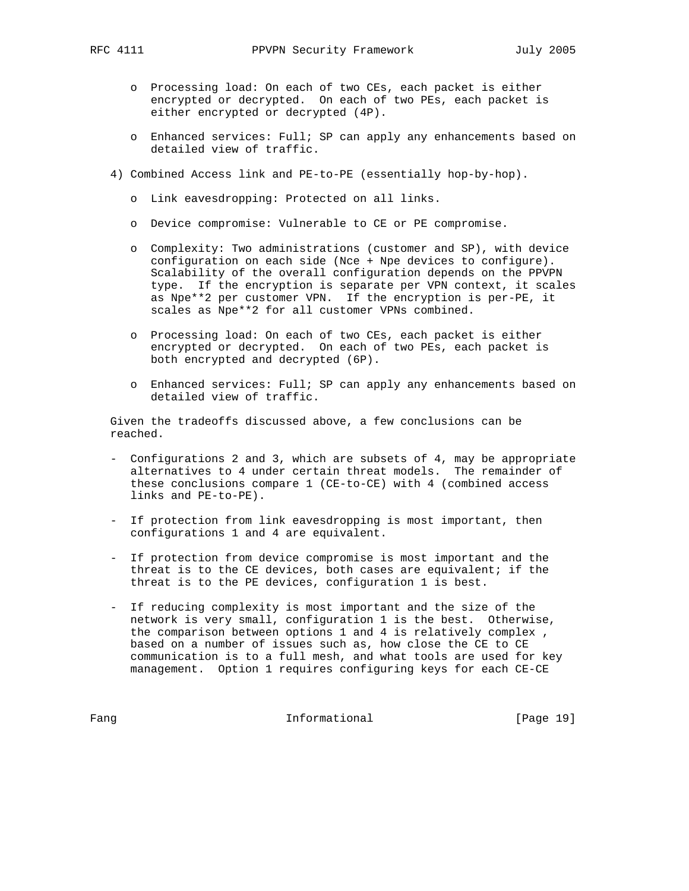- o Processing load: On each of two CEs, each packet is either encrypted or decrypted. On each of two PEs, each packet is either encrypted or decrypted (4P).
- o Enhanced services: Full; SP can apply any enhancements based on detailed view of traffic.
- 4) Combined Access link and PE-to-PE (essentially hop-by-hop).
	- o Link eavesdropping: Protected on all links.
	- o Device compromise: Vulnerable to CE or PE compromise.
	- o Complexity: Two administrations (customer and SP), with device configuration on each side (Nce + Npe devices to configure). Scalability of the overall configuration depends on the PPVPN type. If the encryption is separate per VPN context, it scales as Npe\*\*2 per customer VPN. If the encryption is per-PE, it scales as Npe\*\*2 for all customer VPNs combined.
	- o Processing load: On each of two CEs, each packet is either encrypted or decrypted. On each of two PEs, each packet is both encrypted and decrypted (6P).
	- o Enhanced services: Full; SP can apply any enhancements based on detailed view of traffic.

 Given the tradeoffs discussed above, a few conclusions can be reached.

- Configurations 2 and 3, which are subsets of 4, may be appropriate alternatives to 4 under certain threat models. The remainder of these conclusions compare 1 (CE-to-CE) with 4 (combined access links and PE-to-PE).
- If protection from link eavesdropping is most important, then configurations 1 and 4 are equivalent.
- If protection from device compromise is most important and the threat is to the CE devices, both cases are equivalent; if the threat is to the PE devices, configuration 1 is best.
- If reducing complexity is most important and the size of the network is very small, configuration 1 is the best. Otherwise, the comparison between options 1 and 4 is relatively complex , based on a number of issues such as, how close the CE to CE communication is to a full mesh, and what tools are used for key management. Option 1 requires configuring keys for each CE-CE

Fang Informational Fang IPage 19]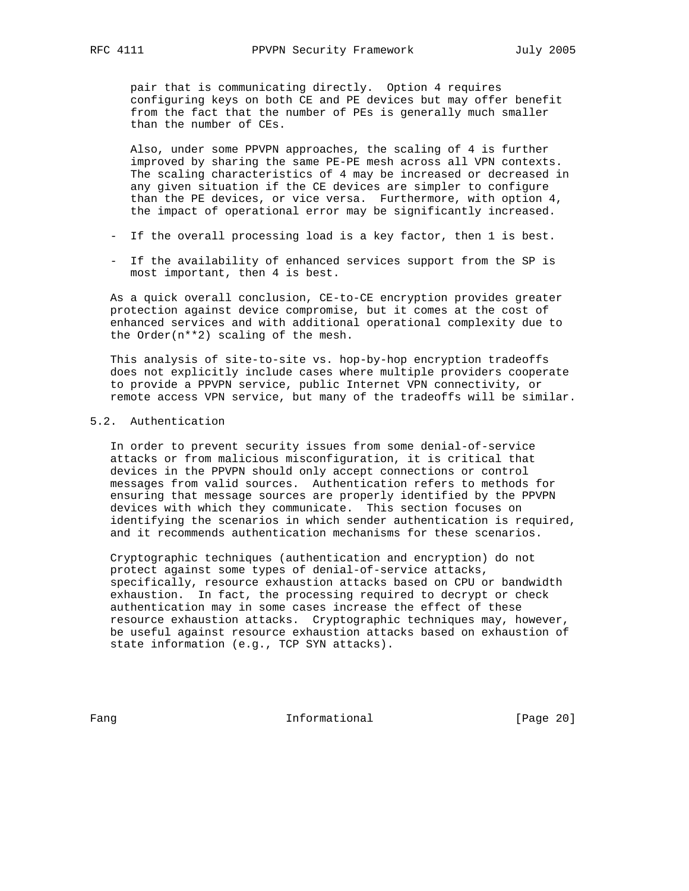pair that is communicating directly. Option 4 requires configuring keys on both CE and PE devices but may offer benefit from the fact that the number of PEs is generally much smaller than the number of CEs.

 Also, under some PPVPN approaches, the scaling of 4 is further improved by sharing the same PE-PE mesh across all VPN contexts. The scaling characteristics of 4 may be increased or decreased in any given situation if the CE devices are simpler to configure than the PE devices, or vice versa. Furthermore, with option 4, the impact of operational error may be significantly increased.

- If the overall processing load is a key factor, then 1 is best.
- If the availability of enhanced services support from the SP is most important, then 4 is best.

 As a quick overall conclusion, CE-to-CE encryption provides greater protection against device compromise, but it comes at the cost of enhanced services and with additional operational complexity due to the Order(n\*\*2) scaling of the mesh.

 This analysis of site-to-site vs. hop-by-hop encryption tradeoffs does not explicitly include cases where multiple providers cooperate to provide a PPVPN service, public Internet VPN connectivity, or remote access VPN service, but many of the tradeoffs will be similar.

# 5.2. Authentication

 In order to prevent security issues from some denial-of-service attacks or from malicious misconfiguration, it is critical that devices in the PPVPN should only accept connections or control messages from valid sources. Authentication refers to methods for ensuring that message sources are properly identified by the PPVPN devices with which they communicate. This section focuses on identifying the scenarios in which sender authentication is required, and it recommends authentication mechanisms for these scenarios.

 Cryptographic techniques (authentication and encryption) do not protect against some types of denial-of-service attacks, specifically, resource exhaustion attacks based on CPU or bandwidth exhaustion. In fact, the processing required to decrypt or check authentication may in some cases increase the effect of these resource exhaustion attacks. Cryptographic techniques may, however, be useful against resource exhaustion attacks based on exhaustion of state information (e.g., TCP SYN attacks).

Fang Informational [Page 20]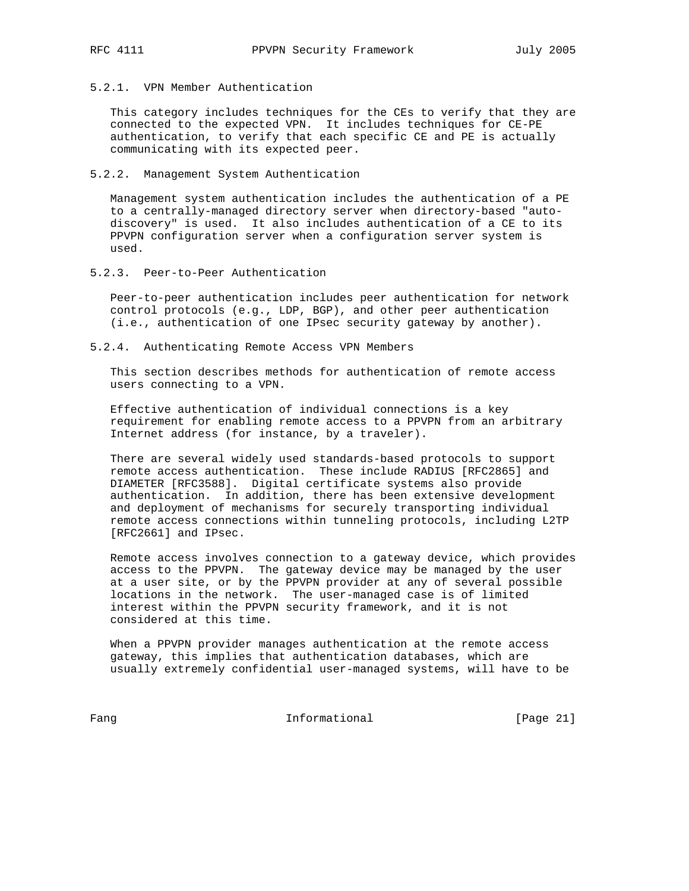5.2.1. VPN Member Authentication

 This category includes techniques for the CEs to verify that they are connected to the expected VPN. It includes techniques for CE-PE authentication, to verify that each specific CE and PE is actually communicating with its expected peer.

5.2.2. Management System Authentication

 Management system authentication includes the authentication of a PE to a centrally-managed directory server when directory-based "auto discovery" is used. It also includes authentication of a CE to its PPVPN configuration server when a configuration server system is used.

5.2.3. Peer-to-Peer Authentication

 Peer-to-peer authentication includes peer authentication for network control protocols (e.g., LDP, BGP), and other peer authentication (i.e., authentication of one IPsec security gateway by another).

5.2.4. Authenticating Remote Access VPN Members

 This section describes methods for authentication of remote access users connecting to a VPN.

 Effective authentication of individual connections is a key requirement for enabling remote access to a PPVPN from an arbitrary Internet address (for instance, by a traveler).

 There are several widely used standards-based protocols to support remote access authentication. These include RADIUS [RFC2865] and DIAMETER [RFC3588]. Digital certificate systems also provide authentication. In addition, there has been extensive development and deployment of mechanisms for securely transporting individual remote access connections within tunneling protocols, including L2TP [RFC2661] and IPsec.

 Remote access involves connection to a gateway device, which provides access to the PPVPN. The gateway device may be managed by the user at a user site, or by the PPVPN provider at any of several possible locations in the network. The user-managed case is of limited interest within the PPVPN security framework, and it is not considered at this time.

 When a PPVPN provider manages authentication at the remote access gateway, this implies that authentication databases, which are usually extremely confidential user-managed systems, will have to be

Fang Informational [Page 21]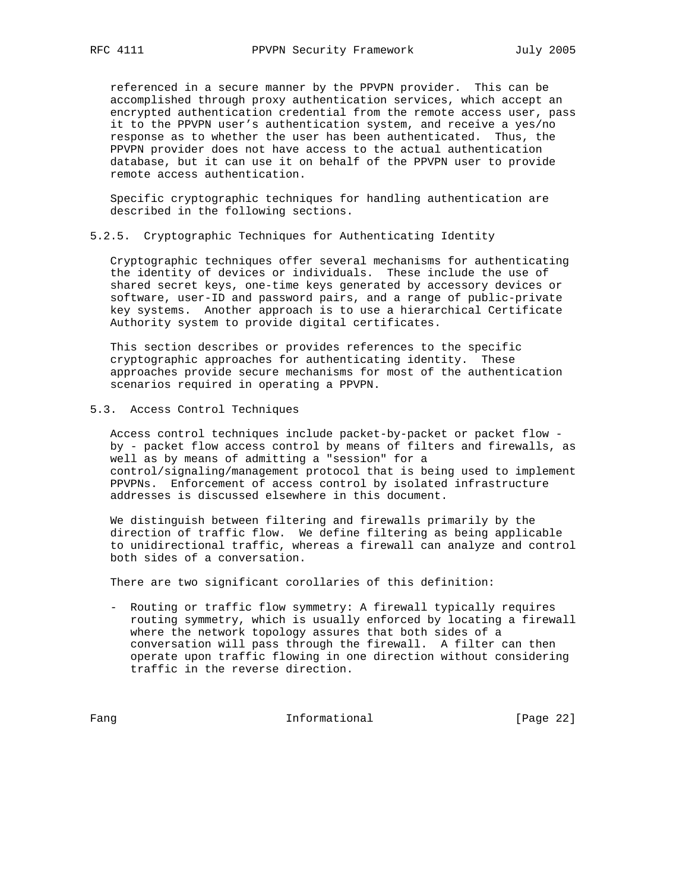referenced in a secure manner by the PPVPN provider. This can be accomplished through proxy authentication services, which accept an encrypted authentication credential from the remote access user, pass it to the PPVPN user's authentication system, and receive a yes/no response as to whether the user has been authenticated. Thus, the PPVPN provider does not have access to the actual authentication database, but it can use it on behalf of the PPVPN user to provide remote access authentication.

 Specific cryptographic techniques for handling authentication are described in the following sections.

# 5.2.5. Cryptographic Techniques for Authenticating Identity

 Cryptographic techniques offer several mechanisms for authenticating the identity of devices or individuals. These include the use of shared secret keys, one-time keys generated by accessory devices or software, user-ID and password pairs, and a range of public-private key systems. Another approach is to use a hierarchical Certificate Authority system to provide digital certificates.

 This section describes or provides references to the specific cryptographic approaches for authenticating identity. These approaches provide secure mechanisms for most of the authentication scenarios required in operating a PPVPN.

# 5.3. Access Control Techniques

 Access control techniques include packet-by-packet or packet flow by - packet flow access control by means of filters and firewalls, as well as by means of admitting a "session" for a control/signaling/management protocol that is being used to implement PPVPNs. Enforcement of access control by isolated infrastructure addresses is discussed elsewhere in this document.

 We distinguish between filtering and firewalls primarily by the direction of traffic flow. We define filtering as being applicable to unidirectional traffic, whereas a firewall can analyze and control both sides of a conversation.

There are two significant corollaries of this definition:

 - Routing or traffic flow symmetry: A firewall typically requires routing symmetry, which is usually enforced by locating a firewall where the network topology assures that both sides of a conversation will pass through the firewall. A filter can then operate upon traffic flowing in one direction without considering traffic in the reverse direction.

Fang Informational [Page 22]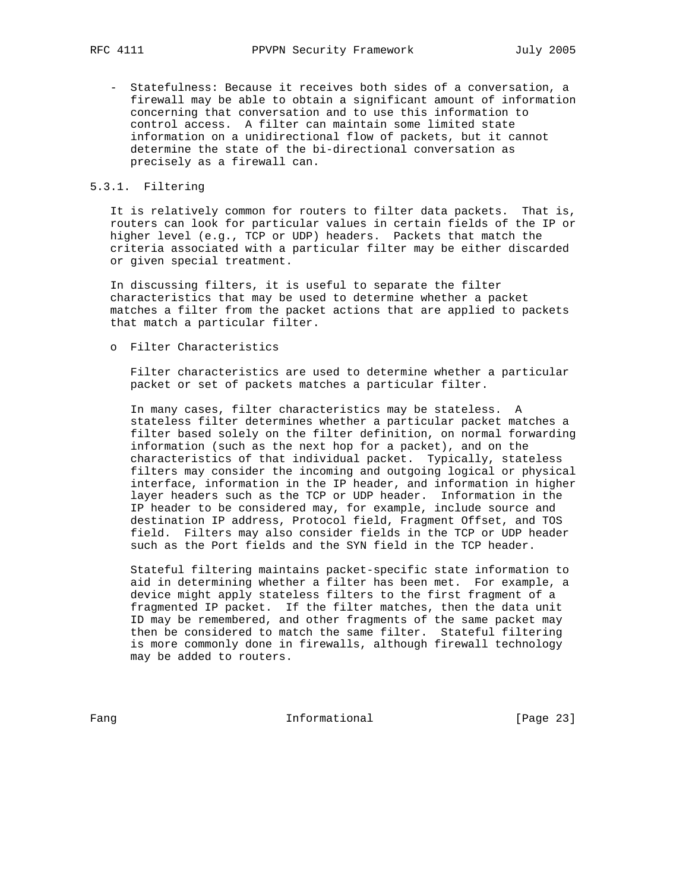- Statefulness: Because it receives both sides of a conversation, a firewall may be able to obtain a significant amount of information concerning that conversation and to use this information to control access. A filter can maintain some limited state information on a unidirectional flow of packets, but it cannot determine the state of the bi-directional conversation as precisely as a firewall can.

# 5.3.1. Filtering

 It is relatively common for routers to filter data packets. That is, routers can look for particular values in certain fields of the IP or higher level (e.g., TCP or UDP) headers. Packets that match the criteria associated with a particular filter may be either discarded or given special treatment.

 In discussing filters, it is useful to separate the filter characteristics that may be used to determine whether a packet matches a filter from the packet actions that are applied to packets that match a particular filter.

o Filter Characteristics

 Filter characteristics are used to determine whether a particular packet or set of packets matches a particular filter.

 In many cases, filter characteristics may be stateless. A stateless filter determines whether a particular packet matches a filter based solely on the filter definition, on normal forwarding information (such as the next hop for a packet), and on the characteristics of that individual packet. Typically, stateless filters may consider the incoming and outgoing logical or physical interface, information in the IP header, and information in higher layer headers such as the TCP or UDP header. Information in the IP header to be considered may, for example, include source and destination IP address, Protocol field, Fragment Offset, and TOS field. Filters may also consider fields in the TCP or UDP header such as the Port fields and the SYN field in the TCP header.

 Stateful filtering maintains packet-specific state information to aid in determining whether a filter has been met. For example, a device might apply stateless filters to the first fragment of a fragmented IP packet. If the filter matches, then the data unit ID may be remembered, and other fragments of the same packet may then be considered to match the same filter. Stateful filtering is more commonly done in firewalls, although firewall technology may be added to routers.

Fang Informational Fang [Page 23]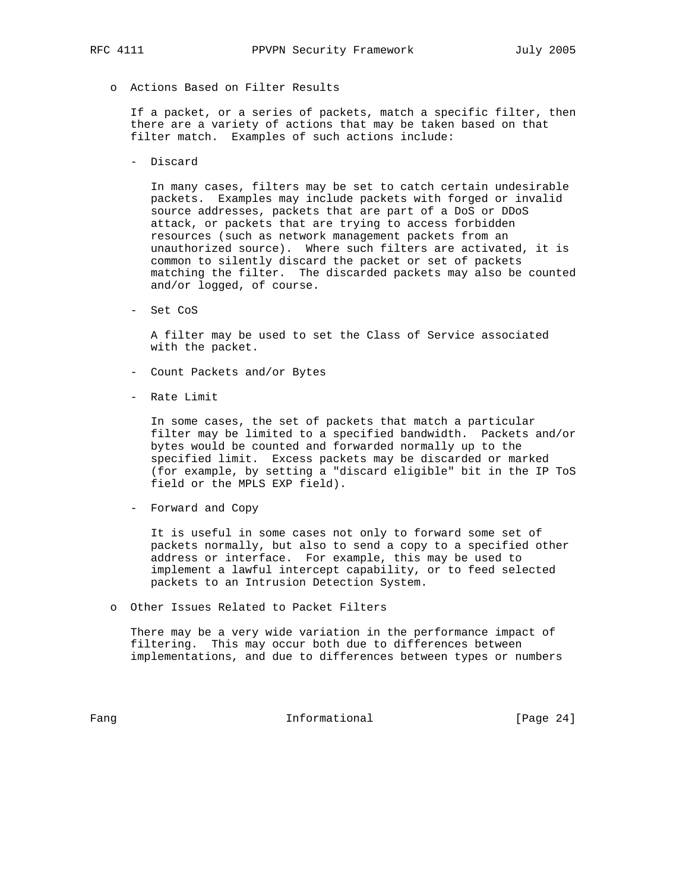o Actions Based on Filter Results

 If a packet, or a series of packets, match a specific filter, then there are a variety of actions that may be taken based on that filter match. Examples of such actions include:

- Discard

 In many cases, filters may be set to catch certain undesirable packets. Examples may include packets with forged or invalid source addresses, packets that are part of a DoS or DDoS attack, or packets that are trying to access forbidden resources (such as network management packets from an unauthorized source). Where such filters are activated, it is common to silently discard the packet or set of packets matching the filter. The discarded packets may also be counted and/or logged, of course.

- Set CoS

 A filter may be used to set the Class of Service associated with the packet.

- Count Packets and/or Bytes
- Rate Limit

 In some cases, the set of packets that match a particular filter may be limited to a specified bandwidth. Packets and/or bytes would be counted and forwarded normally up to the specified limit. Excess packets may be discarded or marked (for example, by setting a "discard eligible" bit in the IP ToS field or the MPLS EXP field).

- Forward and Copy

 It is useful in some cases not only to forward some set of packets normally, but also to send a copy to a specified other address or interface. For example, this may be used to implement a lawful intercept capability, or to feed selected packets to an Intrusion Detection System.

o Other Issues Related to Packet Filters

 There may be a very wide variation in the performance impact of filtering. This may occur both due to differences between implementations, and due to differences between types or numbers

Fang Informational Fang [Page 24]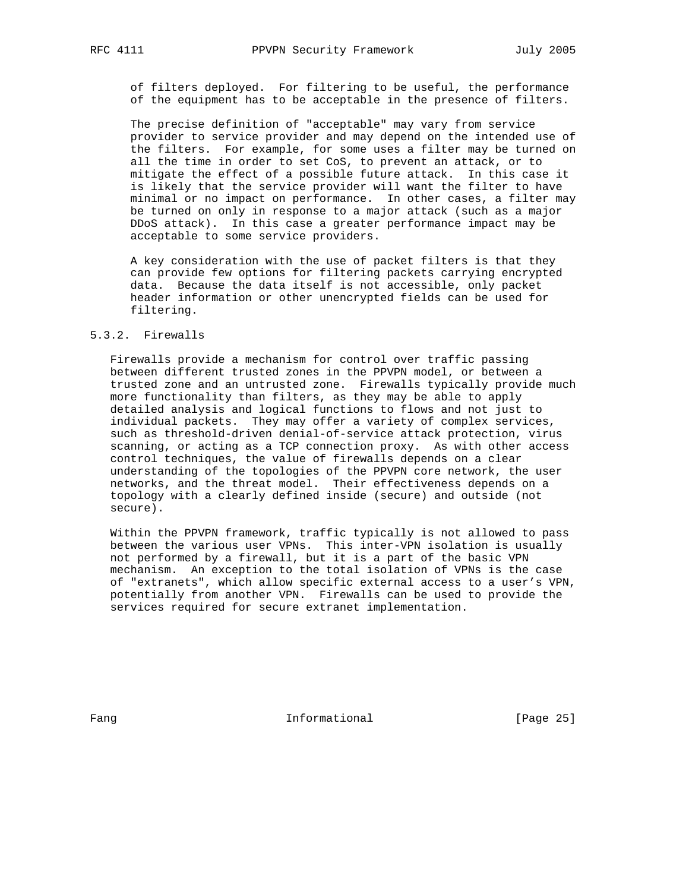of filters deployed. For filtering to be useful, the performance of the equipment has to be acceptable in the presence of filters.

 The precise definition of "acceptable" may vary from service provider to service provider and may depend on the intended use of the filters. For example, for some uses a filter may be turned on all the time in order to set CoS, to prevent an attack, or to mitigate the effect of a possible future attack. In this case it is likely that the service provider will want the filter to have minimal or no impact on performance. In other cases, a filter may be turned on only in response to a major attack (such as a major DDoS attack). In this case a greater performance impact may be acceptable to some service providers.

 A key consideration with the use of packet filters is that they can provide few options for filtering packets carrying encrypted data. Because the data itself is not accessible, only packet header information or other unencrypted fields can be used for filtering.

# 5.3.2. Firewalls

 Firewalls provide a mechanism for control over traffic passing between different trusted zones in the PPVPN model, or between a trusted zone and an untrusted zone. Firewalls typically provide much more functionality than filters, as they may be able to apply detailed analysis and logical functions to flows and not just to individual packets. They may offer a variety of complex services, such as threshold-driven denial-of-service attack protection, virus scanning, or acting as a TCP connection proxy. As with other access control techniques, the value of firewalls depends on a clear understanding of the topologies of the PPVPN core network, the user networks, and the threat model. Their effectiveness depends on a topology with a clearly defined inside (secure) and outside (not secure).

 Within the PPVPN framework, traffic typically is not allowed to pass between the various user VPNs. This inter-VPN isolation is usually not performed by a firewall, but it is a part of the basic VPN mechanism. An exception to the total isolation of VPNs is the case of "extranets", which allow specific external access to a user's VPN, potentially from another VPN. Firewalls can be used to provide the services required for secure extranet implementation.

Fang **Informational Informational** [Page 25]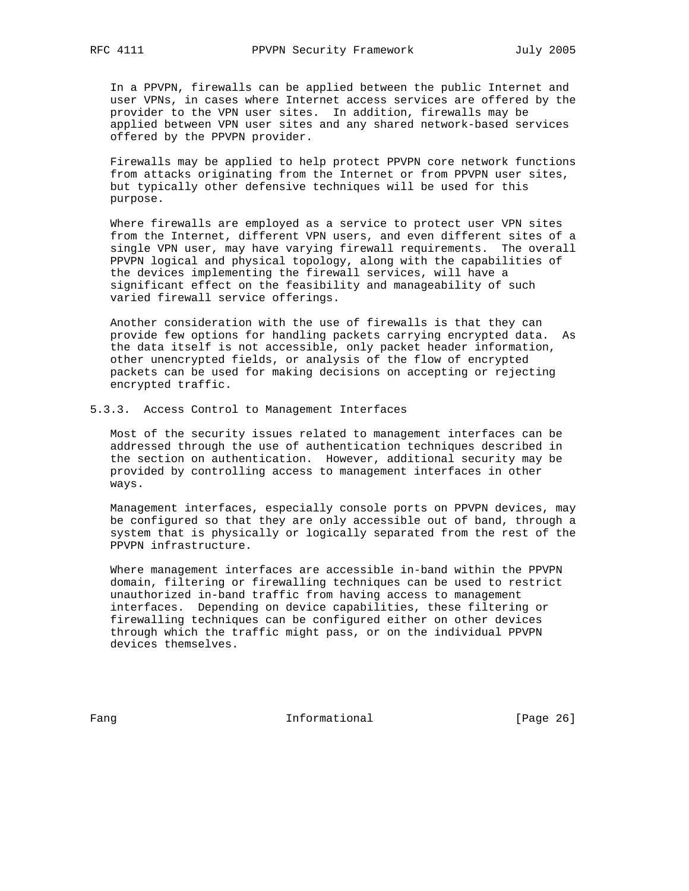In a PPVPN, firewalls can be applied between the public Internet and user VPNs, in cases where Internet access services are offered by the provider to the VPN user sites. In addition, firewalls may be applied between VPN user sites and any shared network-based services offered by the PPVPN provider.

 Firewalls may be applied to help protect PPVPN core network functions from attacks originating from the Internet or from PPVPN user sites, but typically other defensive techniques will be used for this purpose.

 Where firewalls are employed as a service to protect user VPN sites from the Internet, different VPN users, and even different sites of a single VPN user, may have varying firewall requirements. The overall PPVPN logical and physical topology, along with the capabilities of the devices implementing the firewall services, will have a significant effect on the feasibility and manageability of such varied firewall service offerings.

 Another consideration with the use of firewalls is that they can provide few options for handling packets carrying encrypted data. As the data itself is not accessible, only packet header information, other unencrypted fields, or analysis of the flow of encrypted packets can be used for making decisions on accepting or rejecting encrypted traffic.

### 5.3.3. Access Control to Management Interfaces

 Most of the security issues related to management interfaces can be addressed through the use of authentication techniques described in the section on authentication. However, additional security may be provided by controlling access to management interfaces in other ways.

 Management interfaces, especially console ports on PPVPN devices, may be configured so that they are only accessible out of band, through a system that is physically or logically separated from the rest of the PPVPN infrastructure.

 Where management interfaces are accessible in-band within the PPVPN domain, filtering or firewalling techniques can be used to restrict unauthorized in-band traffic from having access to management interfaces. Depending on device capabilities, these filtering or firewalling techniques can be configured either on other devices through which the traffic might pass, or on the individual PPVPN devices themselves.

Fang **Informational Informational** [Page 26]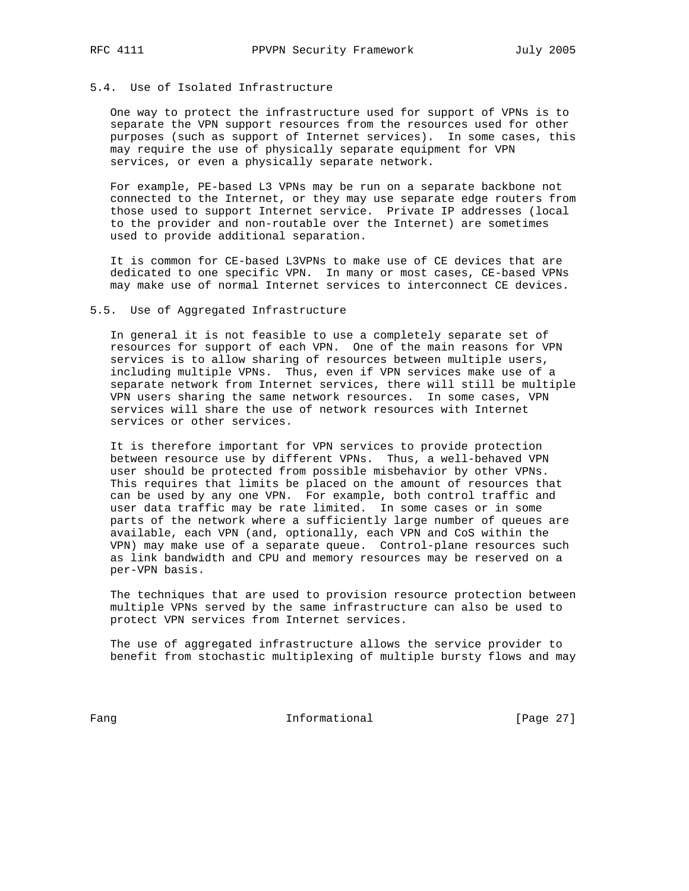# 5.4. Use of Isolated Infrastructure

 One way to protect the infrastructure used for support of VPNs is to separate the VPN support resources from the resources used for other purposes (such as support of Internet services). In some cases, this may require the use of physically separate equipment for VPN services, or even a physically separate network.

 For example, PE-based L3 VPNs may be run on a separate backbone not connected to the Internet, or they may use separate edge routers from those used to support Internet service. Private IP addresses (local to the provider and non-routable over the Internet) are sometimes used to provide additional separation.

 It is common for CE-based L3VPNs to make use of CE devices that are dedicated to one specific VPN. In many or most cases, CE-based VPNs may make use of normal Internet services to interconnect CE devices.

#### 5.5. Use of Aggregated Infrastructure

 In general it is not feasible to use a completely separate set of resources for support of each VPN. One of the main reasons for VPN services is to allow sharing of resources between multiple users, including multiple VPNs. Thus, even if VPN services make use of a separate network from Internet services, there will still be multiple VPN users sharing the same network resources. In some cases, VPN services will share the use of network resources with Internet services or other services.

 It is therefore important for VPN services to provide protection between resource use by different VPNs. Thus, a well-behaved VPN user should be protected from possible misbehavior by other VPNs. This requires that limits be placed on the amount of resources that can be used by any one VPN. For example, both control traffic and user data traffic may be rate limited. In some cases or in some parts of the network where a sufficiently large number of queues are available, each VPN (and, optionally, each VPN and CoS within the VPN) may make use of a separate queue. Control-plane resources such as link bandwidth and CPU and memory resources may be reserved on a per-VPN basis.

 The techniques that are used to provision resource protection between multiple VPNs served by the same infrastructure can also be used to protect VPN services from Internet services.

 The use of aggregated infrastructure allows the service provider to benefit from stochastic multiplexing of multiple bursty flows and may

Fang Informational [Page 27]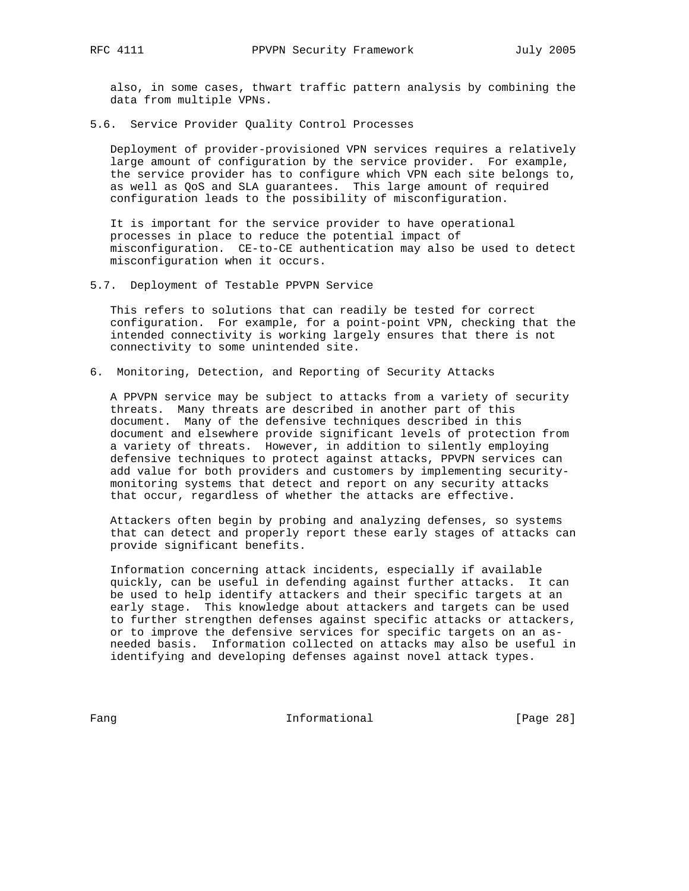also, in some cases, thwart traffic pattern analysis by combining the data from multiple VPNs.

5.6. Service Provider Quality Control Processes

 Deployment of provider-provisioned VPN services requires a relatively large amount of configuration by the service provider. For example, the service provider has to configure which VPN each site belongs to, as well as QoS and SLA guarantees. This large amount of required configuration leads to the possibility of misconfiguration.

 It is important for the service provider to have operational processes in place to reduce the potential impact of misconfiguration. CE-to-CE authentication may also be used to detect misconfiguration when it occurs.

5.7. Deployment of Testable PPVPN Service

 This refers to solutions that can readily be tested for correct configuration. For example, for a point-point VPN, checking that the intended connectivity is working largely ensures that there is not connectivity to some unintended site.

6. Monitoring, Detection, and Reporting of Security Attacks

 A PPVPN service may be subject to attacks from a variety of security threats. Many threats are described in another part of this document. Many of the defensive techniques described in this document and elsewhere provide significant levels of protection from a variety of threats. However, in addition to silently employing defensive techniques to protect against attacks, PPVPN services can add value for both providers and customers by implementing security monitoring systems that detect and report on any security attacks that occur, regardless of whether the attacks are effective.

 Attackers often begin by probing and analyzing defenses, so systems that can detect and properly report these early stages of attacks can provide significant benefits.

 Information concerning attack incidents, especially if available quickly, can be useful in defending against further attacks. It can be used to help identify attackers and their specific targets at an early stage. This knowledge about attackers and targets can be used to further strengthen defenses against specific attacks or attackers, or to improve the defensive services for specific targets on an as needed basis. Information collected on attacks may also be useful in identifying and developing defenses against novel attack types.

Fang Informational [Page 28]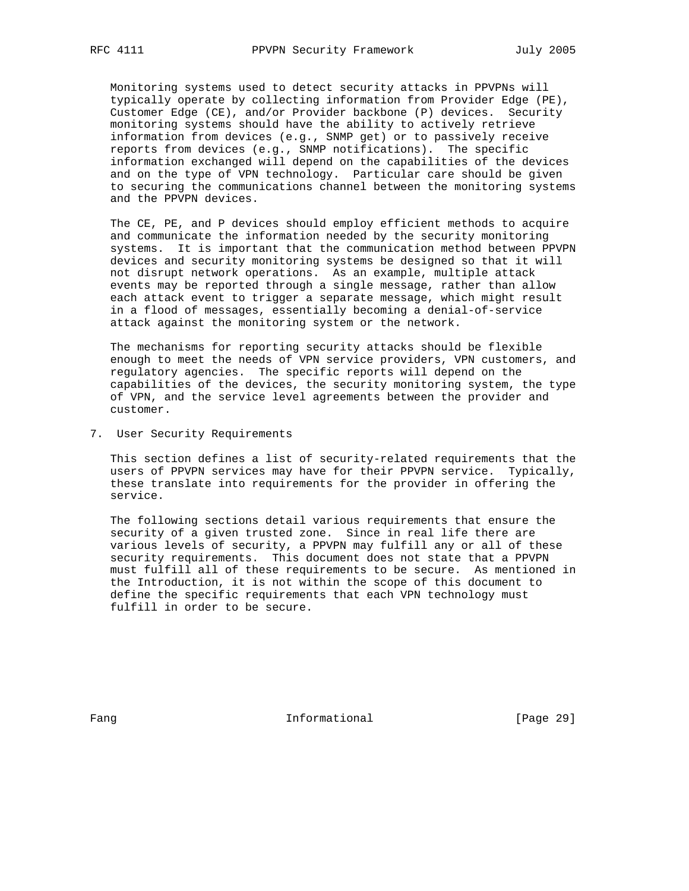Monitoring systems used to detect security attacks in PPVPNs will typically operate by collecting information from Provider Edge (PE), Customer Edge (CE), and/or Provider backbone (P) devices. Security monitoring systems should have the ability to actively retrieve information from devices (e.g., SNMP get) or to passively receive reports from devices (e.g., SNMP notifications). The specific information exchanged will depend on the capabilities of the devices and on the type of VPN technology. Particular care should be given to securing the communications channel between the monitoring systems and the PPVPN devices.

 The CE, PE, and P devices should employ efficient methods to acquire and communicate the information needed by the security monitoring systems. It is important that the communication method between PPVPN devices and security monitoring systems be designed so that it will not disrupt network operations. As an example, multiple attack events may be reported through a single message, rather than allow each attack event to trigger a separate message, which might result in a flood of messages, essentially becoming a denial-of-service attack against the monitoring system or the network.

 The mechanisms for reporting security attacks should be flexible enough to meet the needs of VPN service providers, VPN customers, and regulatory agencies. The specific reports will depend on the capabilities of the devices, the security monitoring system, the type of VPN, and the service level agreements between the provider and customer.

7. User Security Requirements

 This section defines a list of security-related requirements that the users of PPVPN services may have for their PPVPN service. Typically, these translate into requirements for the provider in offering the service.

 The following sections detail various requirements that ensure the security of a given trusted zone. Since in real life there are various levels of security, a PPVPN may fulfill any or all of these security requirements. This document does not state that a PPVPN must fulfill all of these requirements to be secure. As mentioned in the Introduction, it is not within the scope of this document to define the specific requirements that each VPN technology must fulfill in order to be secure.

Fang **Informational Informational** [Page 29]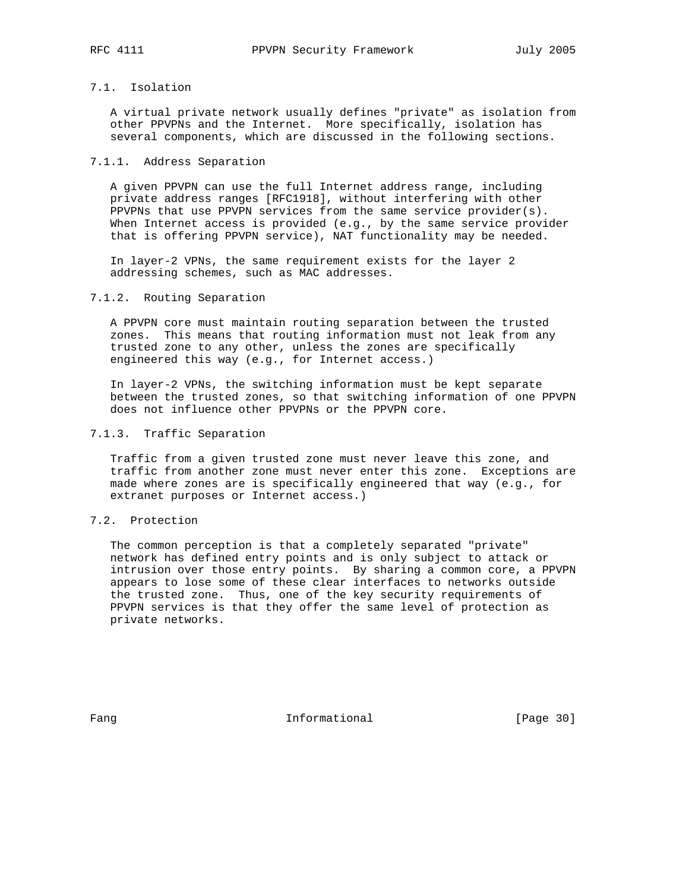# 7.1. Isolation

 A virtual private network usually defines "private" as isolation from other PPVPNs and the Internet. More specifically, isolation has several components, which are discussed in the following sections.

## 7.1.1. Address Separation

 A given PPVPN can use the full Internet address range, including private address ranges [RFC1918], without interfering with other PPVPNs that use PPVPN services from the same service provider(s). When Internet access is provided (e.g., by the same service provider that is offering PPVPN service), NAT functionality may be needed.

 In layer-2 VPNs, the same requirement exists for the layer 2 addressing schemes, such as MAC addresses.

# 7.1.2. Routing Separation

 A PPVPN core must maintain routing separation between the trusted zones. This means that routing information must not leak from any trusted zone to any other, unless the zones are specifically engineered this way (e.g., for Internet access.)

 In layer-2 VPNs, the switching information must be kept separate between the trusted zones, so that switching information of one PPVPN does not influence other PPVPNs or the PPVPN core.

# 7.1.3. Traffic Separation

 Traffic from a given trusted zone must never leave this zone, and traffic from another zone must never enter this zone. Exceptions are made where zones are is specifically engineered that way (e.g., for extranet purposes or Internet access.)

# 7.2. Protection

 The common perception is that a completely separated "private" network has defined entry points and is only subject to attack or intrusion over those entry points. By sharing a common core, a PPVPN appears to lose some of these clear interfaces to networks outside the trusted zone. Thus, one of the key security requirements of PPVPN services is that they offer the same level of protection as private networks.

Fang **Informational Informational** [Page 30]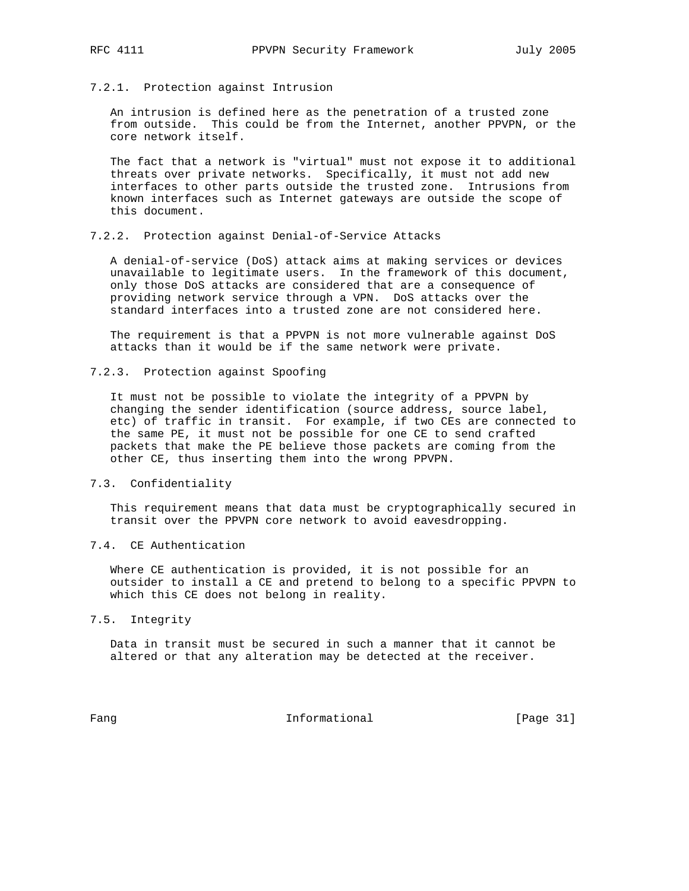7.2.1. Protection against Intrusion

 An intrusion is defined here as the penetration of a trusted zone from outside. This could be from the Internet, another PPVPN, or the core network itself.

 The fact that a network is "virtual" must not expose it to additional threats over private networks. Specifically, it must not add new interfaces to other parts outside the trusted zone. Intrusions from known interfaces such as Internet gateways are outside the scope of this document.

# 7.2.2. Protection against Denial-of-Service Attacks

 A denial-of-service (DoS) attack aims at making services or devices unavailable to legitimate users. In the framework of this document, only those DoS attacks are considered that are a consequence of providing network service through a VPN. DoS attacks over the standard interfaces into a trusted zone are not considered here.

 The requirement is that a PPVPN is not more vulnerable against DoS attacks than it would be if the same network were private.

7.2.3. Protection against Spoofing

 It must not be possible to violate the integrity of a PPVPN by changing the sender identification (source address, source label, etc) of traffic in transit. For example, if two CEs are connected to the same PE, it must not be possible for one CE to send crafted packets that make the PE believe those packets are coming from the other CE, thus inserting them into the wrong PPVPN.

# 7.3. Confidentiality

 This requirement means that data must be cryptographically secured in transit over the PPVPN core network to avoid eavesdropping.

# 7.4. CE Authentication

 Where CE authentication is provided, it is not possible for an outsider to install a CE and pretend to belong to a specific PPVPN to which this CE does not belong in reality.

#### 7.5. Integrity

 Data in transit must be secured in such a manner that it cannot be altered or that any alteration may be detected at the receiver.

Fang Informational Fang [Page 31]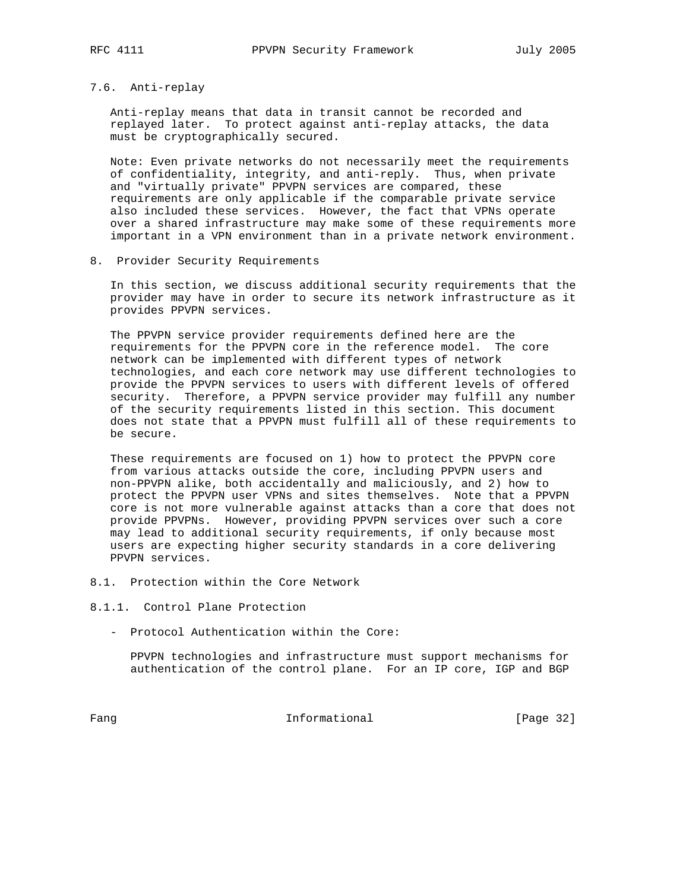# 7.6. Anti-replay

 Anti-replay means that data in transit cannot be recorded and replayed later. To protect against anti-replay attacks, the data must be cryptographically secured.

 Note: Even private networks do not necessarily meet the requirements of confidentiality, integrity, and anti-reply. Thus, when private and "virtually private" PPVPN services are compared, these requirements are only applicable if the comparable private service also included these services. However, the fact that VPNs operate over a shared infrastructure may make some of these requirements more important in a VPN environment than in a private network environment.

8. Provider Security Requirements

 In this section, we discuss additional security requirements that the provider may have in order to secure its network infrastructure as it provides PPVPN services.

 The PPVPN service provider requirements defined here are the requirements for the PPVPN core in the reference model. The core network can be implemented with different types of network technologies, and each core network may use different technologies to provide the PPVPN services to users with different levels of offered security. Therefore, a PPVPN service provider may fulfill any number of the security requirements listed in this section. This document does not state that a PPVPN must fulfill all of these requirements to be secure.

 These requirements are focused on 1) how to protect the PPVPN core from various attacks outside the core, including PPVPN users and non-PPVPN alike, both accidentally and maliciously, and 2) how to protect the PPVPN user VPNs and sites themselves. Note that a PPVPN core is not more vulnerable against attacks than a core that does not provide PPVPNs. However, providing PPVPN services over such a core may lead to additional security requirements, if only because most users are expecting higher security standards in a core delivering PPVPN services.

- 8.1. Protection within the Core Network
- 8.1.1. Control Plane Protection
	- Protocol Authentication within the Core:

 PPVPN technologies and infrastructure must support mechanisms for authentication of the control plane. For an IP core, IGP and BGP

Fang Informational [Page 32]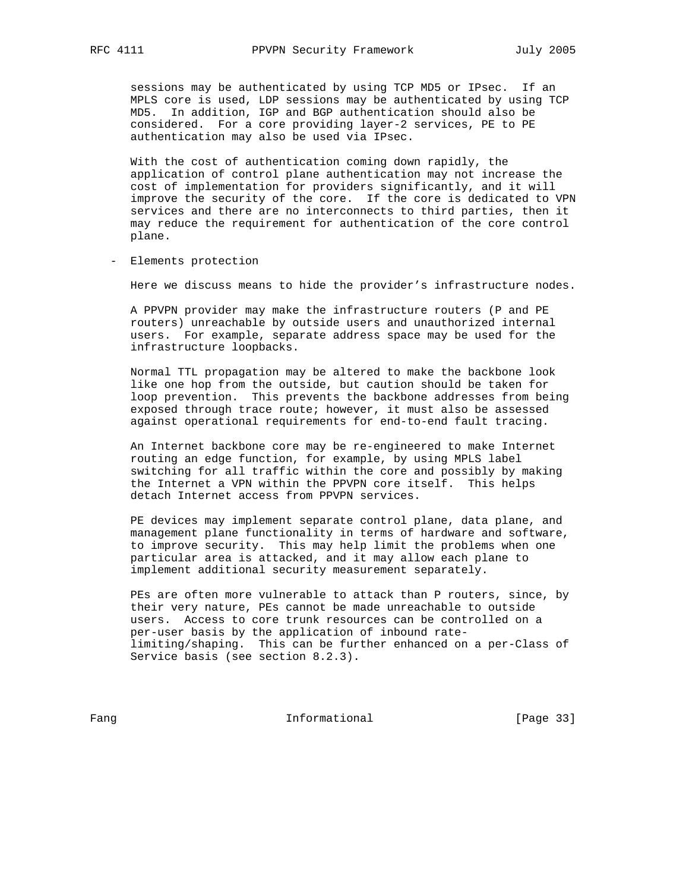sessions may be authenticated by using TCP MD5 or IPsec. If an MPLS core is used, LDP sessions may be authenticated by using TCP MD5. In addition, IGP and BGP authentication should also be considered. For a core providing layer-2 services, PE to PE authentication may also be used via IPsec.

 With the cost of authentication coming down rapidly, the application of control plane authentication may not increase the cost of implementation for providers significantly, and it will improve the security of the core. If the core is dedicated to VPN services and there are no interconnects to third parties, then it may reduce the requirement for authentication of the core control plane.

- Elements protection

Here we discuss means to hide the provider's infrastructure nodes.

 A PPVPN provider may make the infrastructure routers (P and PE routers) unreachable by outside users and unauthorized internal users. For example, separate address space may be used for the infrastructure loopbacks.

 Normal TTL propagation may be altered to make the backbone look like one hop from the outside, but caution should be taken for loop prevention. This prevents the backbone addresses from being exposed through trace route; however, it must also be assessed against operational requirements for end-to-end fault tracing.

 An Internet backbone core may be re-engineered to make Internet routing an edge function, for example, by using MPLS label switching for all traffic within the core and possibly by making the Internet a VPN within the PPVPN core itself. This helps detach Internet access from PPVPN services.

 PE devices may implement separate control plane, data plane, and management plane functionality in terms of hardware and software, to improve security. This may help limit the problems when one particular area is attacked, and it may allow each plane to implement additional security measurement separately.

 PEs are often more vulnerable to attack than P routers, since, by their very nature, PEs cannot be made unreachable to outside users. Access to core trunk resources can be controlled on a per-user basis by the application of inbound rate limiting/shaping. This can be further enhanced on a per-Class of Service basis (see section 8.2.3).

Fang Informational [Page 33]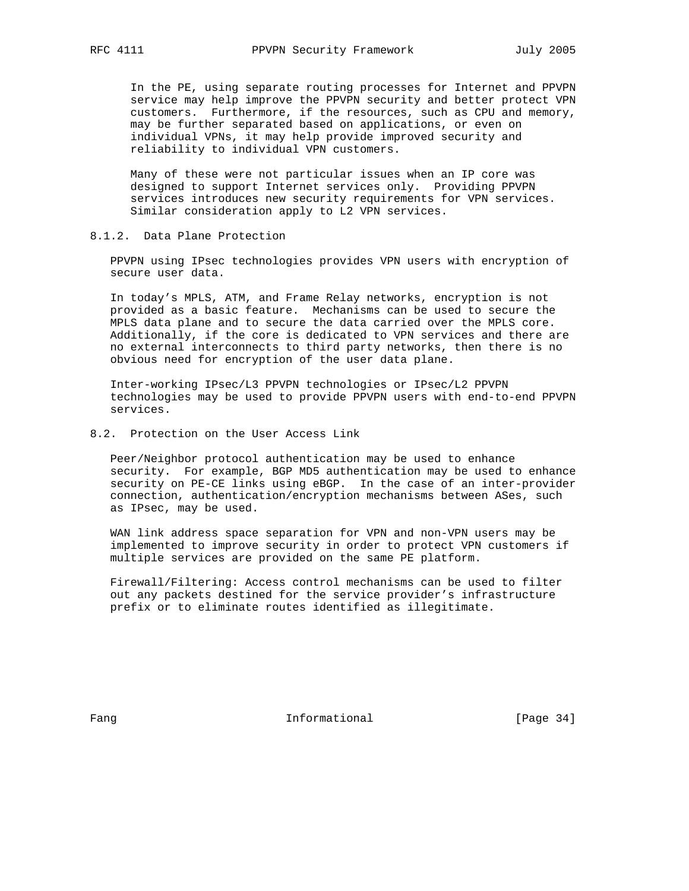In the PE, using separate routing processes for Internet and PPVPN service may help improve the PPVPN security and better protect VPN customers. Furthermore, if the resources, such as CPU and memory, may be further separated based on applications, or even on individual VPNs, it may help provide improved security and reliability to individual VPN customers.

 Many of these were not particular issues when an IP core was designed to support Internet services only. Providing PPVPN services introduces new security requirements for VPN services. Similar consideration apply to L2 VPN services.

### 8.1.2. Data Plane Protection

 PPVPN using IPsec technologies provides VPN users with encryption of secure user data.

 In today's MPLS, ATM, and Frame Relay networks, encryption is not provided as a basic feature. Mechanisms can be used to secure the MPLS data plane and to secure the data carried over the MPLS core. Additionally, if the core is dedicated to VPN services and there are no external interconnects to third party networks, then there is no obvious need for encryption of the user data plane.

 Inter-working IPsec/L3 PPVPN technologies or IPsec/L2 PPVPN technologies may be used to provide PPVPN users with end-to-end PPVPN services.

# 8.2. Protection on the User Access Link

 Peer/Neighbor protocol authentication may be used to enhance security. For example, BGP MD5 authentication may be used to enhance security on PE-CE links using eBGP. In the case of an inter-provider connection, authentication/encryption mechanisms between ASes, such as IPsec, may be used.

 WAN link address space separation for VPN and non-VPN users may be implemented to improve security in order to protect VPN customers if multiple services are provided on the same PE platform.

 Firewall/Filtering: Access control mechanisms can be used to filter out any packets destined for the service provider's infrastructure prefix or to eliminate routes identified as illegitimate.

Fang **Informational Informational** [Page 34]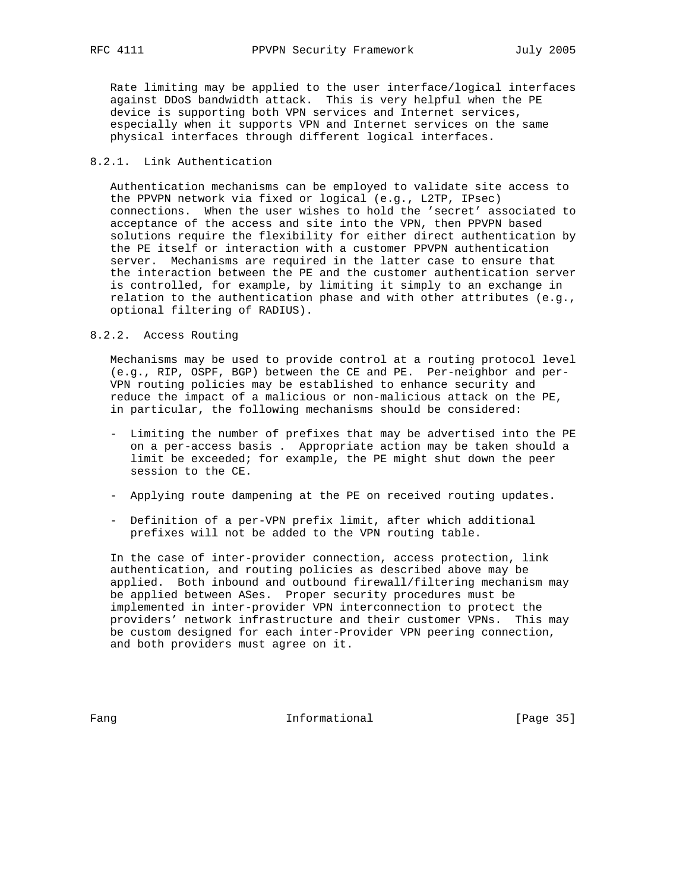Rate limiting may be applied to the user interface/logical interfaces against DDoS bandwidth attack. This is very helpful when the PE device is supporting both VPN services and Internet services, especially when it supports VPN and Internet services on the same physical interfaces through different logical interfaces.

# 8.2.1. Link Authentication

 Authentication mechanisms can be employed to validate site access to the PPVPN network via fixed or logical (e.g., L2TP, IPsec) connections. When the user wishes to hold the 'secret' associated to acceptance of the access and site into the VPN, then PPVPN based solutions require the flexibility for either direct authentication by the PE itself or interaction with a customer PPVPN authentication server. Mechanisms are required in the latter case to ensure that the interaction between the PE and the customer authentication server is controlled, for example, by limiting it simply to an exchange in relation to the authentication phase and with other attributes (e.g., optional filtering of RADIUS).

#### 8.2.2. Access Routing

 Mechanisms may be used to provide control at a routing protocol level (e.g., RIP, OSPF, BGP) between the CE and PE. Per-neighbor and per- VPN routing policies may be established to enhance security and reduce the impact of a malicious or non-malicious attack on the PE, in particular, the following mechanisms should be considered:

- Limiting the number of prefixes that may be advertised into the PE on a per-access basis . Appropriate action may be taken should a limit be exceeded; for example, the PE might shut down the peer session to the CE.
- Applying route dampening at the PE on received routing updates.
- Definition of a per-VPN prefix limit, after which additional prefixes will not be added to the VPN routing table.

 In the case of inter-provider connection, access protection, link authentication, and routing policies as described above may be applied. Both inbound and outbound firewall/filtering mechanism may be applied between ASes. Proper security procedures must be implemented in inter-provider VPN interconnection to protect the providers' network infrastructure and their customer VPNs. This may be custom designed for each inter-Provider VPN peering connection, and both providers must agree on it.

Fang **Informational Informational** [Page 35]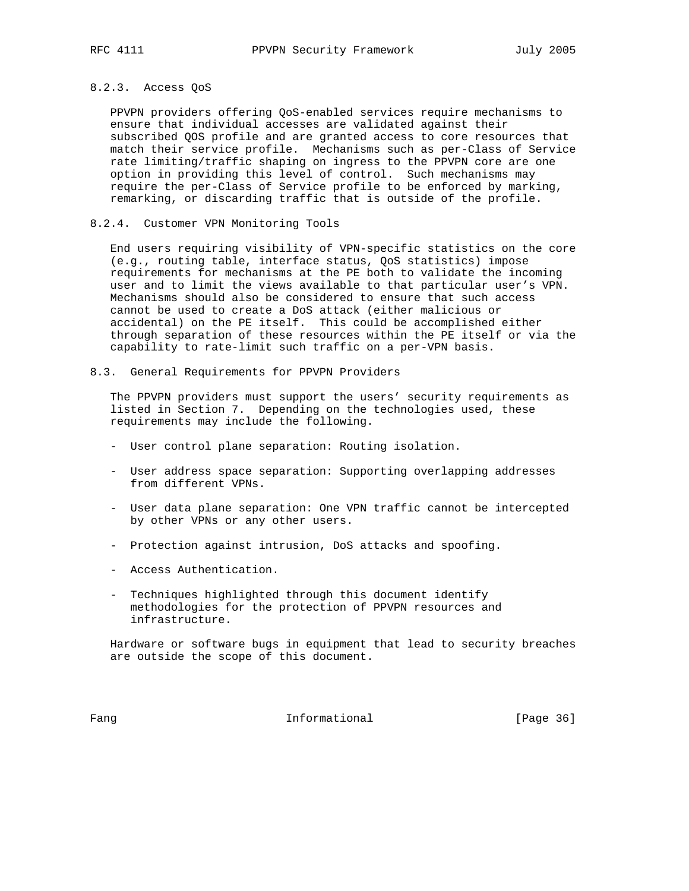#### 8.2.3. Access QoS

 PPVPN providers offering QoS-enabled services require mechanisms to ensure that individual accesses are validated against their subscribed QOS profile and are granted access to core resources that match their service profile. Mechanisms such as per-Class of Service rate limiting/traffic shaping on ingress to the PPVPN core are one option in providing this level of control. Such mechanisms may require the per-Class of Service profile to be enforced by marking, remarking, or discarding traffic that is outside of the profile.

# 8.2.4. Customer VPN Monitoring Tools

 End users requiring visibility of VPN-specific statistics on the core (e.g., routing table, interface status, QoS statistics) impose requirements for mechanisms at the PE both to validate the incoming user and to limit the views available to that particular user's VPN. Mechanisms should also be considered to ensure that such access cannot be used to create a DoS attack (either malicious or accidental) on the PE itself. This could be accomplished either through separation of these resources within the PE itself or via the capability to rate-limit such traffic on a per-VPN basis.

8.3. General Requirements for PPVPN Providers

 The PPVPN providers must support the users' security requirements as listed in Section 7. Depending on the technologies used, these requirements may include the following.

- User control plane separation: Routing isolation.
- User address space separation: Supporting overlapping addresses from different VPNs.
- User data plane separation: One VPN traffic cannot be intercepted by other VPNs or any other users.
- Protection against intrusion, DoS attacks and spoofing.
- Access Authentication.
- Techniques highlighted through this document identify methodologies for the protection of PPVPN resources and infrastructure.

 Hardware or software bugs in equipment that lead to security breaches are outside the scope of this document.

Fang Informational Fang [Page 36]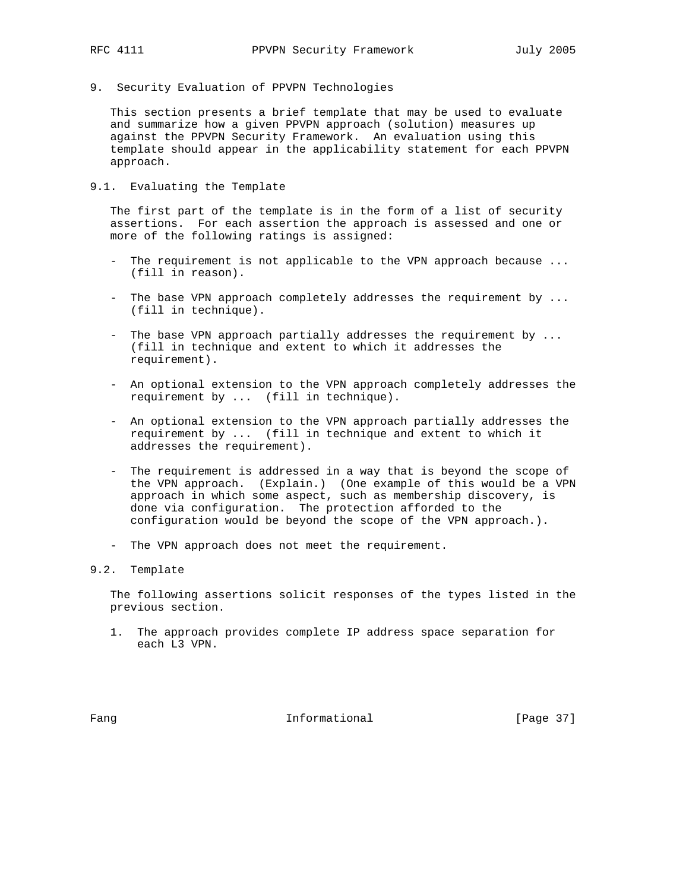- 
- 9. Security Evaluation of PPVPN Technologies

 This section presents a brief template that may be used to evaluate and summarize how a given PPVPN approach (solution) measures up against the PPVPN Security Framework. An evaluation using this template should appear in the applicability statement for each PPVPN approach.

9.1. Evaluating the Template

 The first part of the template is in the form of a list of security assertions. For each assertion the approach is assessed and one or more of the following ratings is assigned:

- The requirement is not applicable to the VPN approach because ... (fill in reason).
- The base VPN approach completely addresses the requirement by ... (fill in technique).
- The base VPN approach partially addresses the requirement by ... (fill in technique and extent to which it addresses the requirement).
- An optional extension to the VPN approach completely addresses the requirement by ... (fill in technique).
- An optional extension to the VPN approach partially addresses the requirement by ... (fill in technique and extent to which it addresses the requirement).
- The requirement is addressed in a way that is beyond the scope of the VPN approach. (Explain.) (One example of this would be a VPN approach in which some aspect, such as membership discovery, is done via configuration. The protection afforded to the configuration would be beyond the scope of the VPN approach.).
- The VPN approach does not meet the requirement.

# 9.2. Template

 The following assertions solicit responses of the types listed in the previous section.

 1. The approach provides complete IP address space separation for each L3 VPN.

Fang **Informational Informational** [Page 37]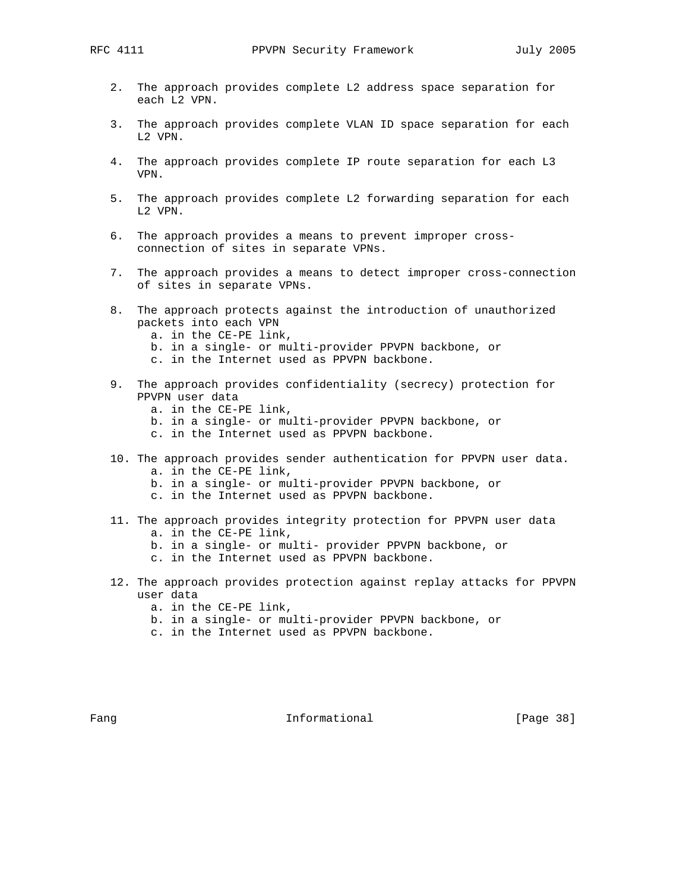- 2. The approach provides complete L2 address space separation for each L2 VPN.
- 3. The approach provides complete VLAN ID space separation for each L2 VPN.
- 4. The approach provides complete IP route separation for each L3 VPN.
- 5. The approach provides complete L2 forwarding separation for each L2 VPN.
- 6. The approach provides a means to prevent improper cross connection of sites in separate VPNs.
- 7. The approach provides a means to detect improper cross-connection of sites in separate VPNs.
- 8. The approach protects against the introduction of unauthorized packets into each VPN
	- a. in the CE-PE link,
	- b. in a single- or multi-provider PPVPN backbone, or
	- c. in the Internet used as PPVPN backbone.
- 9. The approach provides confidentiality (secrecy) protection for PPVPN user data
	- a. in the CE-PE link,
	- b. in a single- or multi-provider PPVPN backbone, or
	- c. in the Internet used as PPVPN backbone.
- 10. The approach provides sender authentication for PPVPN user data.
	- a. in the CE-PE link,
	- b. in a single- or multi-provider PPVPN backbone, or
	- c. in the Internet used as PPVPN backbone.
- 11. The approach provides integrity protection for PPVPN user data a. in the CE-PE link,
	- b. in a single- or multi- provider PPVPN backbone, or
	- c. in the Internet used as PPVPN backbone.
- 12. The approach provides protection against replay attacks for PPVPN user data
	- a. in the CE-PE link,
	- b. in a single- or multi-provider PPVPN backbone, or
	- c. in the Internet used as PPVPN backbone.

Fang **Informational Informational** [Page 38]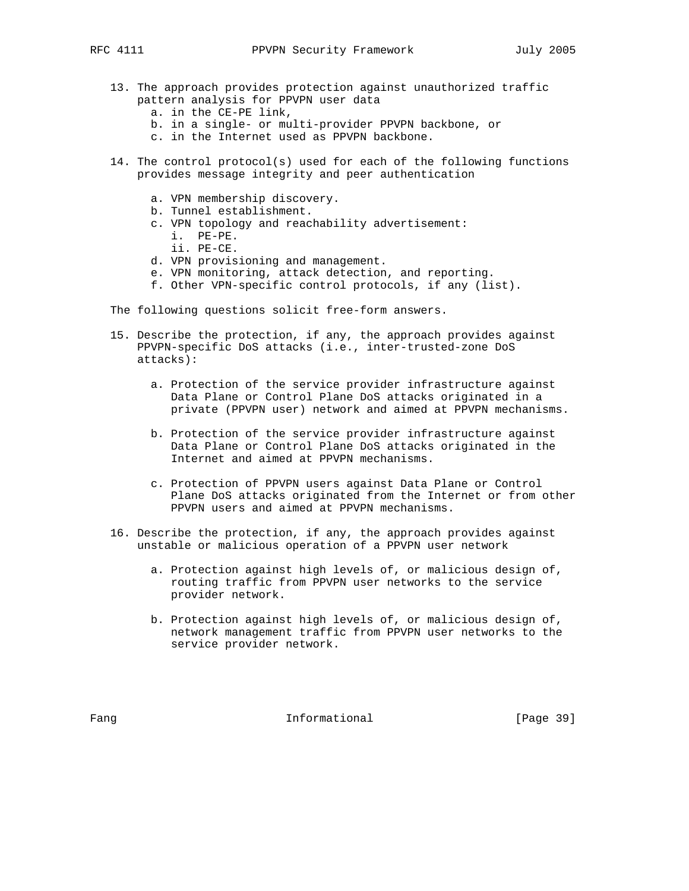- 13. The approach provides protection against unauthorized traffic pattern analysis for PPVPN user data
	- a. in the CE-PE link,
	- b. in a single- or multi-provider PPVPN backbone, or
	- c. in the Internet used as PPVPN backbone.
- 14. The control protocol(s) used for each of the following functions provides message integrity and peer authentication
	- a. VPN membership discovery.
	- b. Tunnel establishment.
	- c. VPN topology and reachability advertisement:
		- i. PE-PE.
		- ii. PE-CE.
	- d. VPN provisioning and management.
	- e. VPN monitoring, attack detection, and reporting.
	- f. Other VPN-specific control protocols, if any (list).

The following questions solicit free-form answers.

- 15. Describe the protection, if any, the approach provides against PPVPN-specific DoS attacks (i.e., inter-trusted-zone DoS attacks):
	- a. Protection of the service provider infrastructure against Data Plane or Control Plane DoS attacks originated in a private (PPVPN user) network and aimed at PPVPN mechanisms.
	- b. Protection of the service provider infrastructure against Data Plane or Control Plane DoS attacks originated in the Internet and aimed at PPVPN mechanisms.
	- c. Protection of PPVPN users against Data Plane or Control Plane DoS attacks originated from the Internet or from other PPVPN users and aimed at PPVPN mechanisms.
- 16. Describe the protection, if any, the approach provides against unstable or malicious operation of a PPVPN user network
	- a. Protection against high levels of, or malicious design of, routing traffic from PPVPN user networks to the service provider network.
	- b. Protection against high levels of, or malicious design of, network management traffic from PPVPN user networks to the service provider network.

Fang **Informational Informational** [Page 39]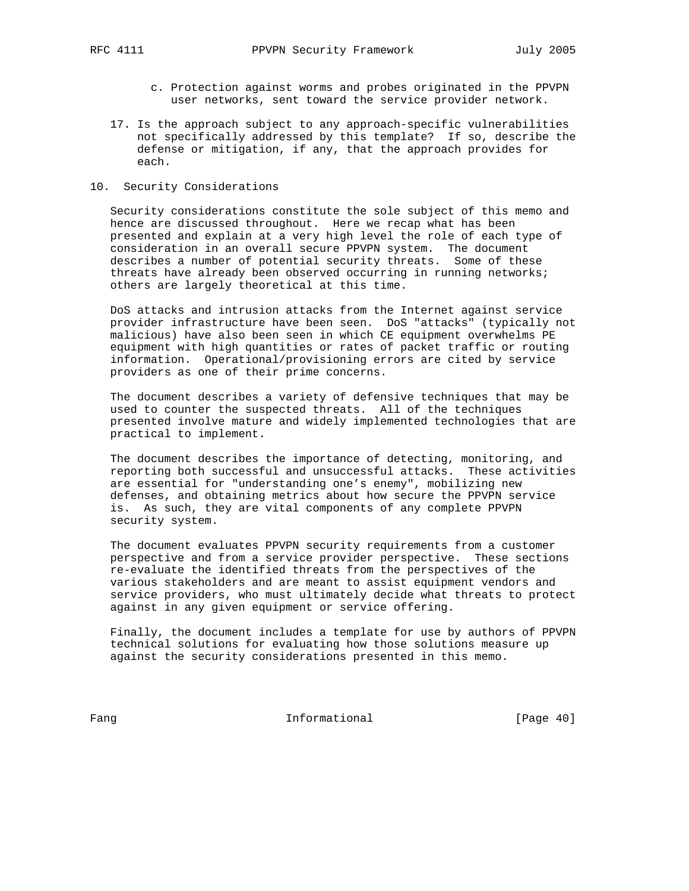- c. Protection against worms and probes originated in the PPVPN user networks, sent toward the service provider network.
- 17. Is the approach subject to any approach-specific vulnerabilities not specifically addressed by this template? If so, describe the defense or mitigation, if any, that the approach provides for each.
- 10. Security Considerations

 Security considerations constitute the sole subject of this memo and hence are discussed throughout. Here we recap what has been presented and explain at a very high level the role of each type of consideration in an overall secure PPVPN system. The document describes a number of potential security threats. Some of these threats have already been observed occurring in running networks; others are largely theoretical at this time.

 DoS attacks and intrusion attacks from the Internet against service provider infrastructure have been seen. DoS "attacks" (typically not malicious) have also been seen in which CE equipment overwhelms PE equipment with high quantities or rates of packet traffic or routing information. Operational/provisioning errors are cited by service providers as one of their prime concerns.

 The document describes a variety of defensive techniques that may be used to counter the suspected threats. All of the techniques presented involve mature and widely implemented technologies that are practical to implement.

 The document describes the importance of detecting, monitoring, and reporting both successful and unsuccessful attacks. These activities are essential for "understanding one's enemy", mobilizing new defenses, and obtaining metrics about how secure the PPVPN service is. As such, they are vital components of any complete PPVPN security system.

 The document evaluates PPVPN security requirements from a customer perspective and from a service provider perspective. These sections re-evaluate the identified threats from the perspectives of the various stakeholders and are meant to assist equipment vendors and service providers, who must ultimately decide what threats to protect against in any given equipment or service offering.

 Finally, the document includes a template for use by authors of PPVPN technical solutions for evaluating how those solutions measure up against the security considerations presented in this memo.

Fang Informational Fang [Page 40]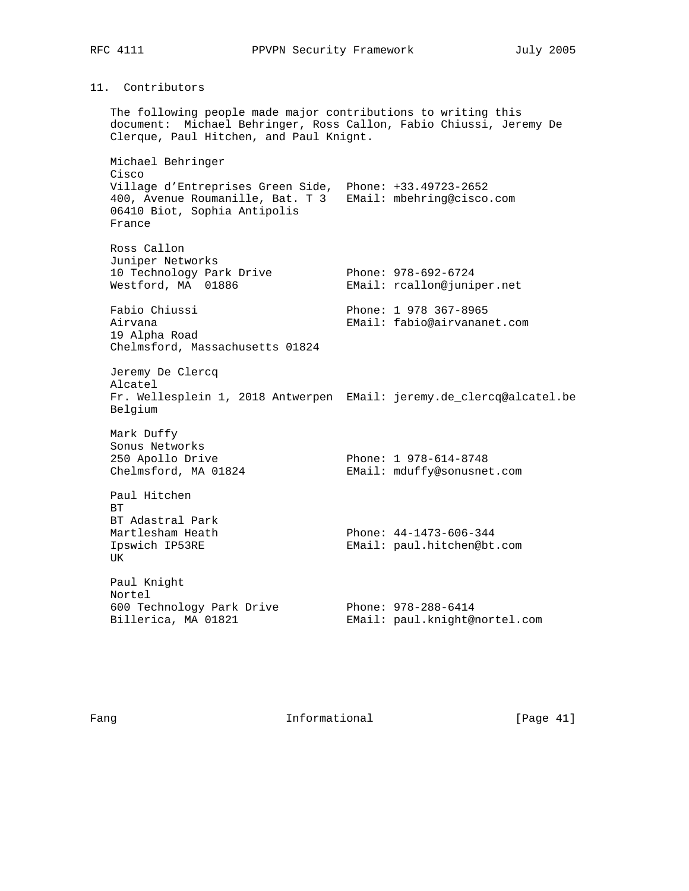# 11. Contributors

 The following people made major contributions to writing this document: Michael Behringer, Ross Callon, Fabio Chiussi, Jeremy De Clerque, Paul Hitchen, and Paul Knignt. Michael Behringer Cisco Village d'Entreprises Green Side, Phone: +33.49723-2652 400, Avenue Roumanille, Bat. T 3 EMail: mbehring@cisco.com 06410 Biot, Sophia Antipolis France Ross Callon Juniper Networks 10 Technology Park Drive Phone: 978-692-6724 Westford, MA 01886 EMail: rcallon@juniper.net Fabio Chiussi Phone: 1 978 367-8965 Airvana EMail: fabio@airvananet.com 19 Alpha Road Chelmsford, Massachusetts 01824 Jeremy De Clercq Alcatel Fr. Wellesplein 1, 2018 Antwerpen EMail: jeremy.de\_clercq@alcatel.be Belgium Mark Duffy Sonus Networks 250 Apollo Drive **Phone: 1 978-614-8748**  Chelmsford, MA 01824 EMail: mduffy@sonusnet.com Paul Hitchen BT BT Adastral Park<br>Martlesham Heath Phone:  $44-1473-606-344$ <br>EMail: paul bitabonent Ipswich IP53RE EMail: paul.hitchen@bt.com UK Paul Knight Nortel 600 Technology Park Drive Phone: 978-288-6414 Billerica, MA 01821 EMail: paul.knight@nortel.com

Fang **Informational Informational** [Page 41]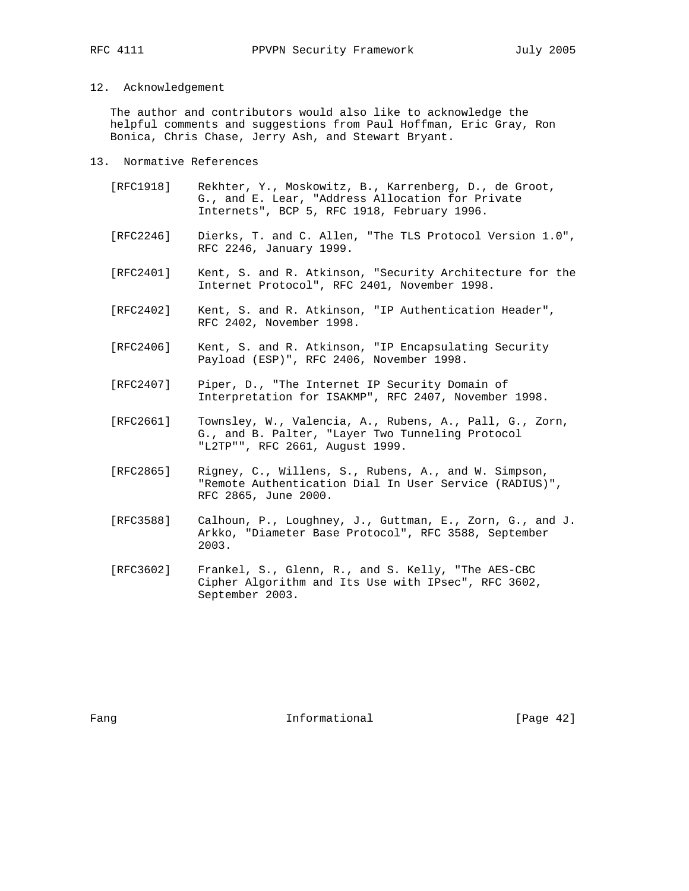#### 12. Acknowledgement

 The author and contributors would also like to acknowledge the helpful comments and suggestions from Paul Hoffman, Eric Gray, Ron Bonica, Chris Chase, Jerry Ash, and Stewart Bryant.

- 13. Normative References
	- [RFC1918] Rekhter, Y., Moskowitz, B., Karrenberg, D., de Groot, G., and E. Lear, "Address Allocation for Private Internets", BCP 5, RFC 1918, February 1996.
	- [RFC2246] Dierks, T. and C. Allen, "The TLS Protocol Version 1.0", RFC 2246, January 1999.
	- [RFC2401] Kent, S. and R. Atkinson, "Security Architecture for the Internet Protocol", RFC 2401, November 1998.
	- [RFC2402] Kent, S. and R. Atkinson, "IP Authentication Header", RFC 2402, November 1998.
	- [RFC2406] Kent, S. and R. Atkinson, "IP Encapsulating Security Payload (ESP)", RFC 2406, November 1998.
	- [RFC2407] Piper, D., "The Internet IP Security Domain of Interpretation for ISAKMP", RFC 2407, November 1998.
- [RFC2661] Townsley, W., Valencia, A., Rubens, A., Pall, G., Zorn, G., and B. Palter, "Layer Two Tunneling Protocol "L2TP"", RFC 2661, August 1999.
	- [RFC2865] Rigney, C., Willens, S., Rubens, A., and W. Simpson, "Remote Authentication Dial In User Service (RADIUS)", RFC 2865, June 2000.
	- [RFC3588] Calhoun, P., Loughney, J., Guttman, E., Zorn, G., and J. Arkko, "Diameter Base Protocol", RFC 3588, September 2003.
	- [RFC3602] Frankel, S., Glenn, R., and S. Kelly, "The AES-CBC Cipher Algorithm and Its Use with IPsec", RFC 3602, September 2003.

Fang **Informational Informational** [Page 42]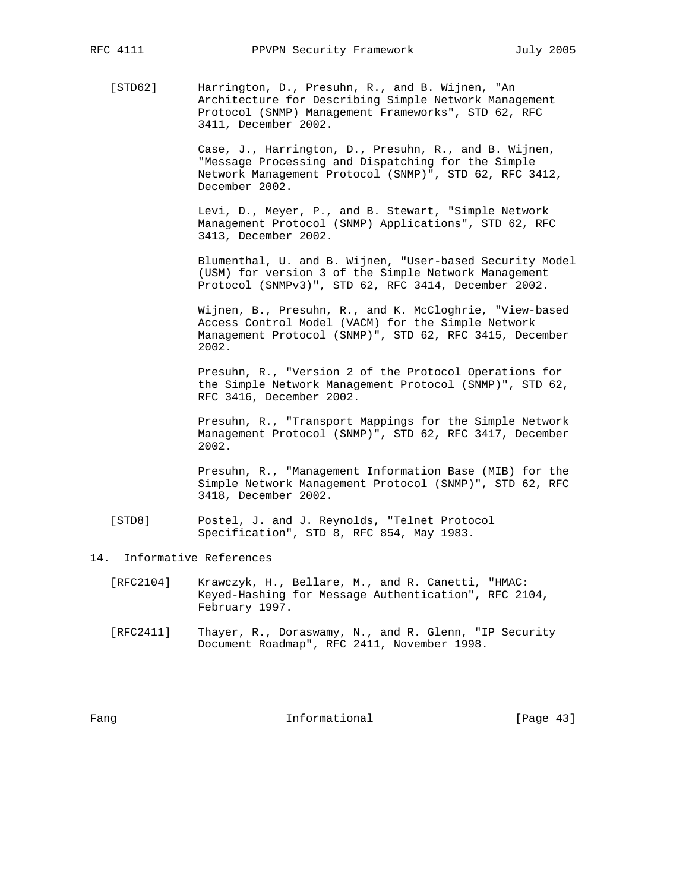[STD62] Harrington, D., Presuhn, R., and B. Wijnen, "An Architecture for Describing Simple Network Management Protocol (SNMP) Management Frameworks", STD 62, RFC 3411, December 2002.

> Case, J., Harrington, D., Presuhn, R., and B. Wijnen, "Message Processing and Dispatching for the Simple Network Management Protocol (SNMP)", STD 62, RFC 3412, December 2002.

 Levi, D., Meyer, P., and B. Stewart, "Simple Network Management Protocol (SNMP) Applications", STD 62, RFC 3413, December 2002.

 Blumenthal, U. and B. Wijnen, "User-based Security Model (USM) for version 3 of the Simple Network Management Protocol (SNMPv3)", STD 62, RFC 3414, December 2002.

 Wijnen, B., Presuhn, R., and K. McCloghrie, "View-based Access Control Model (VACM) for the Simple Network Management Protocol (SNMP)", STD 62, RFC 3415, December 2002.

 Presuhn, R., "Version 2 of the Protocol Operations for the Simple Network Management Protocol (SNMP)", STD 62, RFC 3416, December 2002.

 Presuhn, R., "Transport Mappings for the Simple Network Management Protocol (SNMP)", STD 62, RFC 3417, December 2002.

 Presuhn, R., "Management Information Base (MIB) for the Simple Network Management Protocol (SNMP)", STD 62, RFC 3418, December 2002.

- [STD8] Postel, J. and J. Reynolds, "Telnet Protocol Specification", STD 8, RFC 854, May 1983.
- 14. Informative References
	- [RFC2104] Krawczyk, H., Bellare, M., and R. Canetti, "HMAC: Keyed-Hashing for Message Authentication", RFC 2104, February 1997.
	- [RFC2411] Thayer, R., Doraswamy, N., and R. Glenn, "IP Security Document Roadmap", RFC 2411, November 1998.

Fang **Informational Informational** [Page 43]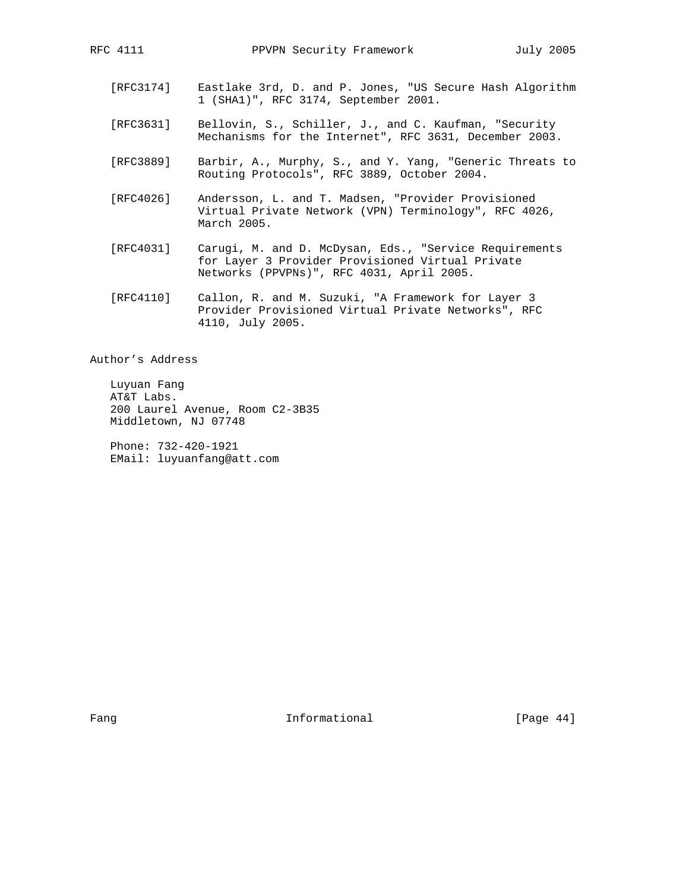- [RFC3174] Eastlake 3rd, D. and P. Jones, "US Secure Hash Algorithm 1 (SHA1)", RFC 3174, September 2001.
- [RFC3631] Bellovin, S., Schiller, J., and C. Kaufman, "Security Mechanisms for the Internet", RFC 3631, December 2003.
- [RFC3889] Barbir, A., Murphy, S., and Y. Yang, "Generic Threats to Routing Protocols", RFC 3889, October 2004.
- [RFC4026] Andersson, L. and T. Madsen, "Provider Provisioned Virtual Private Network (VPN) Terminology", RFC 4026, March 2005.
- [RFC4031] Carugi, M. and D. McDysan, Eds., "Service Requirements for Layer 3 Provider Provisioned Virtual Private Networks (PPVPNs)", RFC 4031, April 2005.
- [RFC4110] Callon, R. and M. Suzuki, "A Framework for Layer 3 Provider Provisioned Virtual Private Networks", RFC 4110, July 2005.

Author's Address

 Luyuan Fang AT&T Labs. 200 Laurel Avenue, Room C2-3B35 Middletown, NJ 07748

 Phone: 732-420-1921 EMail: luyuanfang@att.com

Fang **Informational Informational** [Page 44]